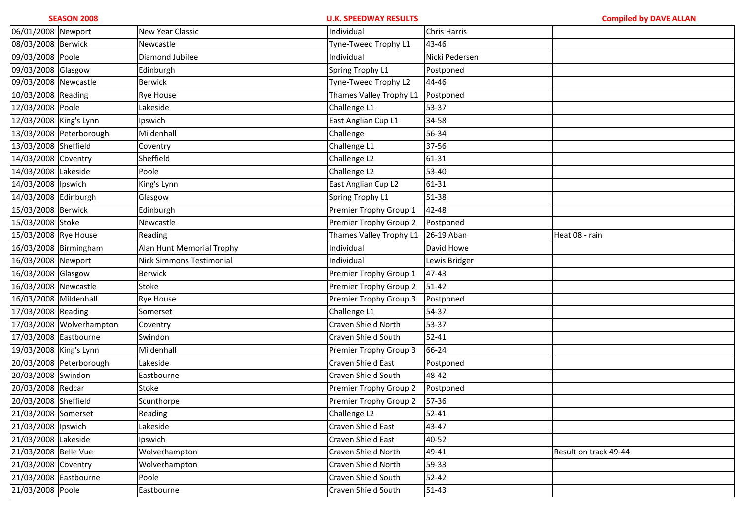| 06/01/2008 Newport     |                          | New Year Classic                | Individual              | <b>Chris Harris</b> |                       |
|------------------------|--------------------------|---------------------------------|-------------------------|---------------------|-----------------------|
| 08/03/2008 Berwick     |                          | Newcastle                       | Tyne-Tweed Trophy L1    | 43-46               |                       |
| 09/03/2008 Poole       |                          | Diamond Jubilee                 | Individual              | Nicki Pedersen      |                       |
| 09/03/2008 Glasgow     |                          | Edinburgh                       | Spring Trophy L1        | Postponed           |                       |
| 09/03/2008 Newcastle   |                          | <b>Berwick</b>                  | Tyne-Tweed Trophy L2    | 44-46               |                       |
| 10/03/2008 Reading     |                          | <b>Rye House</b>                | Thames Valley Trophy L1 | Postponed           |                       |
| 12/03/2008 Poole       |                          | Lakeside                        | Challenge L1            | 53-37               |                       |
| 12/03/2008 King's Lynn |                          | Ipswich                         | East Anglian Cup L1     | 34-58               |                       |
|                        | 13/03/2008 Peterborough  | Mildenhall                      | Challenge               | 56-34               |                       |
| 13/03/2008 Sheffield   |                          | Coventry                        | Challenge L1            | 37-56               |                       |
| 14/03/2008 Coventry    |                          | Sheffield                       | Challenge L2            | 61-31               |                       |
| 14/03/2008 Lakeside    |                          | Poole                           | Challenge L2            | 53-40               |                       |
| 14/03/2008 Ipswich     |                          | King's Lynn                     | East Anglian Cup L2     | 61-31               |                       |
| 14/03/2008 Edinburgh   |                          | Glasgow                         | Spring Trophy L1        | 51-38               |                       |
| 15/03/2008 Berwick     |                          | Edinburgh                       | Premier Trophy Group 1  | 42-48               |                       |
| 15/03/2008 Stoke       |                          | Newcastle                       | Premier Trophy Group 2  | Postponed           |                       |
| 15/03/2008 Rye House   |                          | Reading                         | Thames Valley Trophy L1 | 26-19 Aban          | Heat 08 - rain        |
|                        | 16/03/2008 Birmingham    | Alan Hunt Memorial Trophy       | Individual              | David Howe          |                       |
| 16/03/2008 Newport     |                          | <b>Nick Simmons Testimonial</b> | Individual              | Lewis Bridger       |                       |
| 16/03/2008 Glasgow     |                          | <b>Berwick</b>                  | Premier Trophy Group 1  | 47-43               |                       |
| 16/03/2008 Newcastle   |                          | Stoke                           | Premier Trophy Group 2  | $51 - 42$           |                       |
| 16/03/2008 Mildenhall  |                          | <b>Rye House</b>                | Premier Trophy Group 3  | Postponed           |                       |
| 17/03/2008 Reading     |                          | Somerset                        | Challenge L1            | 54-37               |                       |
|                        | 17/03/2008 Wolverhampton | Coventry                        | Craven Shield North     | 53-37               |                       |
| 17/03/2008 Eastbourne  |                          | Swindon                         | Craven Shield South     | 52-41               |                       |
| 19/03/2008 King's Lynn |                          | Mildenhall                      | Premier Trophy Group 3  | 66-24               |                       |
|                        | 20/03/2008 Peterborough  | Lakeside                        | Craven Shield East      | Postponed           |                       |
| 20/03/2008 Swindon     |                          | Eastbourne                      | Craven Shield South     | 48-42               |                       |
| 20/03/2008 Redcar      |                          | Stoke                           | Premier Trophy Group 2  | Postponed           |                       |
| 20/03/2008 Sheffield   |                          | Scunthorpe                      | Premier Trophy Group 2  | 57-36               |                       |
| 21/03/2008 Somerset    |                          | Reading                         | Challenge L2            | $52 - 41$           |                       |
| 21/03/2008 lpswich     |                          | Lakeside                        | Craven Shield East      | 43-47               |                       |
| 21/03/2008 Lakeside    |                          | Ipswich                         | Craven Shield East      | 40-52               |                       |
| 21/03/2008 Belle Vue   |                          | Wolverhampton                   | Craven Shield North     | 49-41               | Result on track 49-44 |
| 21/03/2008 Coventry    |                          | Wolverhampton                   | Craven Shield North     | 59-33               |                       |
| 21/03/2008 Eastbourne  |                          | Poole                           | Craven Shield South     | $52 - 42$           |                       |
| 21/03/2008 Poole       |                          | Eastbourne                      | Craven Shield South     | $51 - 43$           |                       |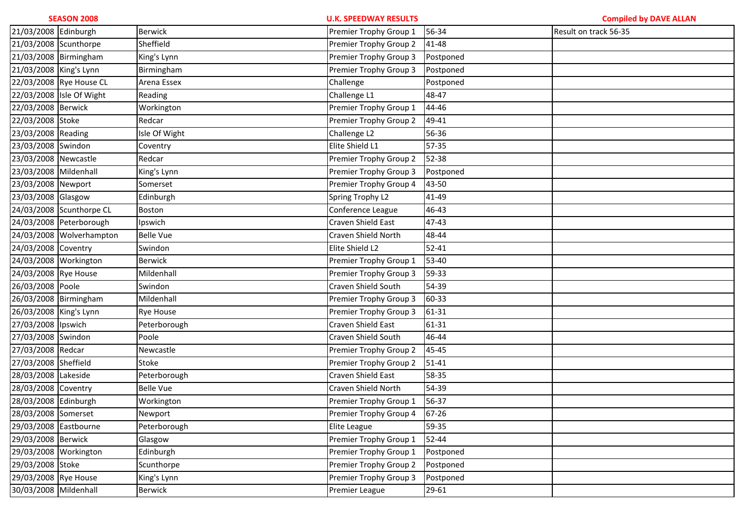|                        | <b>SEASON 2008</b>       |                  | <b>U.K. SPEEDWAY RESULTS</b> |           | <b>Compiled by DAVE ALLAN</b> |
|------------------------|--------------------------|------------------|------------------------------|-----------|-------------------------------|
| 21/03/2008 Edinburgh   |                          | <b>Berwick</b>   | Premier Trophy Group 1       | 56-34     | Result on track 56-35         |
| 21/03/2008 Scunthorpe  |                          | Sheffield        | Premier Trophy Group 2       | 41-48     |                               |
|                        | 21/03/2008 Birmingham    | King's Lynn      | Premier Trophy Group 3       | Postponed |                               |
| 21/03/2008 King's Lynn |                          | Birmingham       | Premier Trophy Group 3       | Postponed |                               |
|                        | 22/03/2008 Rye House CL  | Arena Essex      | Challenge                    | Postponed |                               |
|                        | 22/03/2008 Isle Of Wight | Reading          | Challenge L1                 | 48-47     |                               |
| 22/03/2008 Berwick     |                          | Workington       | Premier Trophy Group 1       | 44-46     |                               |
| 22/03/2008 Stoke       |                          | Redcar           | Premier Trophy Group 2       | 49-41     |                               |
| 23/03/2008 Reading     |                          | Isle Of Wight    | Challenge L2                 | 56-36     |                               |
| 23/03/2008 Swindon     |                          | Coventry         | Elite Shield L1              | 57-35     |                               |
| 23/03/2008 Newcastle   |                          | Redcar           | Premier Trophy Group 2       | 52-38     |                               |
| 23/03/2008 Mildenhall  |                          | King's Lynn      | Premier Trophy Group 3       | Postponed |                               |
| 23/03/2008 Newport     |                          | Somerset         | Premier Trophy Group 4       | 43-50     |                               |
| 23/03/2008 Glasgow     |                          | Edinburgh        | Spring Trophy L2             | 41-49     |                               |
|                        | 24/03/2008 Scunthorpe CL | Boston           | Conference League            | 46-43     |                               |
|                        | 24/03/2008 Peterborough  | Ipswich          | Craven Shield East           | 47-43     |                               |
|                        | 24/03/2008 Wolverhampton | <b>Belle Vue</b> | Craven Shield North          | 48-44     |                               |
| 24/03/2008 Coventry    |                          | Swindon          | Elite Shield L2              | $52 - 41$ |                               |
| 24/03/2008 Workington  |                          | <b>Berwick</b>   | Premier Trophy Group 1       | 53-40     |                               |
| 24/03/2008 Rye House   |                          | Mildenhall       | Premier Trophy Group 3       | 59-33     |                               |
| 26/03/2008 Poole       |                          | Swindon          | Craven Shield South          | 54-39     |                               |
|                        | 26/03/2008 Birmingham    | Mildenhall       | Premier Trophy Group 3       | 60-33     |                               |
| 26/03/2008 King's Lynn |                          | <b>Rye House</b> | Premier Trophy Group 3       | 61-31     |                               |
| 27/03/2008 Ipswich     |                          | Peterborough     | Craven Shield East           | 61-31     |                               |
| 27/03/2008 Swindon     |                          | Poole            | Craven Shield South          | 46-44     |                               |
| 27/03/2008 Redcar      |                          | Newcastle        | Premier Trophy Group 2       | 45-45     |                               |
| 27/03/2008 Sheffield   |                          | Stoke            | Premier Trophy Group 2       | $51 - 41$ |                               |
| 28/03/2008 Lakeside    |                          | Peterborough     | Craven Shield East           | 58-35     |                               |
| 28/03/2008 Coventry    |                          | <b>Belle Vue</b> | Craven Shield North          | 54-39     |                               |
| 28/03/2008 Edinburgh   |                          | Workington       | Premier Trophy Group 1       | 56-37     |                               |
| 28/03/2008 Somerset    |                          | Newport          | Premier Trophy Group 4       | 67-26     |                               |
| 29/03/2008 Eastbourne  |                          | Peterborough     | Elite League                 | 59-35     |                               |
| 29/03/2008 Berwick     |                          | Glasgow          | Premier Trophy Group 1       | 52-44     |                               |
| 29/03/2008 Workington  |                          | Edinburgh        | Premier Trophy Group 1       | Postponed |                               |
| 29/03/2008 Stoke       |                          | Scunthorpe       | Premier Trophy Group 2       | Postponed |                               |
| 29/03/2008 Rye House   |                          | King's Lynn      | Premier Trophy Group 3       | Postponed |                               |
| 30/03/2008 Mildenhall  |                          | Berwick          | Premier League               | 29-61     |                               |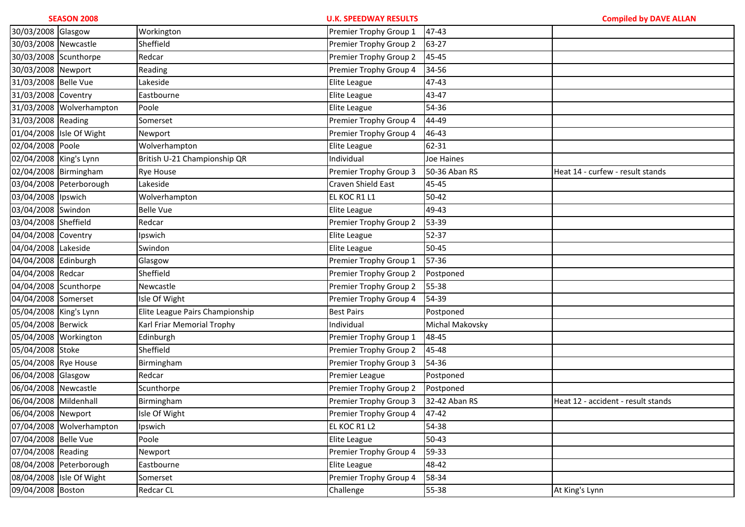|                        | <b>SEASON 2008</b>       |                                 | <b>U.K. SPEEDWAY RESULTS</b> |                   | <b>Compiled by DAVE ALLAN</b>      |
|------------------------|--------------------------|---------------------------------|------------------------------|-------------------|------------------------------------|
| 30/03/2008 Glasgow     |                          | Workington                      | Premier Trophy Group 1       | 47-43             |                                    |
| 30/03/2008 Newcastle   |                          | Sheffield                       | Premier Trophy Group 2       | 63-27             |                                    |
| 30/03/2008 Scunthorpe  |                          | Redcar                          | Premier Trophy Group 2       | 45-45             |                                    |
| 30/03/2008             | Newport                  | Reading                         | Premier Trophy Group 4       | 34-56             |                                    |
| 31/03/2008 Belle Vue   |                          | Lakeside                        | Elite League                 | 47-43             |                                    |
| 31/03/2008 Coventry    |                          | Eastbourne                      | Elite League                 | 43-47             |                                    |
|                        | 31/03/2008 Wolverhampton | Poole                           | Elite League                 | 54-36             |                                    |
| 31/03/2008 Reading     |                          | Somerset                        | Premier Trophy Group 4       | 44-49             |                                    |
|                        | 01/04/2008 Isle Of Wight | Newport                         | Premier Trophy Group 4       | 46-43             |                                    |
| 02/04/2008 Poole       |                          | Wolverhampton                   | Elite League                 | 62-31             |                                    |
| 02/04/2008 King's Lynn |                          | British U-21 Championship QR    | Individual                   | <b>Joe Haines</b> |                                    |
| 02/04/2008 Birmingham  |                          | <b>Rye House</b>                | Premier Trophy Group 3       | 50-36 Aban RS     | Heat 14 - curfew - result stands   |
|                        | 03/04/2008 Peterborough  | Lakeside                        | Craven Shield East           | 45-45             |                                    |
| 03/04/2008             | Ipswich                  | Wolverhampton                   | EL KOC R1 L1                 | 50-42             |                                    |
| 03/04/2008             | Swindon                  | <b>Belle Vue</b>                | Elite League                 | 49-43             |                                    |
| 03/04/2008 Sheffield   |                          | Redcar                          | Premier Trophy Group 2       | 53-39             |                                    |
| 04/04/2008             | Coventry                 | Ipswich                         | Elite League                 | 52-37             |                                    |
| 04/04/2008             | Lakeside                 | Swindon                         | Elite League                 | 50-45             |                                    |
| 04/04/2008             | Edinburgh                | Glasgow                         | Premier Trophy Group 1       | 57-36             |                                    |
| 04/04/2008 Redcar      |                          | Sheffield                       | Premier Trophy Group 2       | Postponed         |                                    |
| 04/04/2008 Scunthorpe  |                          | Newcastle                       | Premier Trophy Group 2       | 55-38             |                                    |
| 04/04/2008 Somerset    |                          | Isle Of Wight                   | Premier Trophy Group 4       | 54-39             |                                    |
| 05/04/2008 King's Lynn |                          | Elite League Pairs Championship | <b>Best Pairs</b>            | Postponed         |                                    |
| 05/04/2008 Berwick     |                          | Karl Friar Memorial Trophy      | Individual                   | Michal Makovsky   |                                    |
| 05/04/2008 Workington  |                          | Edinburgh                       | Premier Trophy Group 1       | 48-45             |                                    |
| 05/04/2008 Stoke       |                          | Sheffield                       | Premier Trophy Group 2       | 45-48             |                                    |
| 05/04/2008 Rye House   |                          | Birmingham                      | Premier Trophy Group 3       | 54-36             |                                    |
| 06/04/2008 Glasgow     |                          | Redcar                          | Premier League               | Postponed         |                                    |
| 06/04/2008 Newcastle   |                          | Scunthorpe                      | Premier Trophy Group 2       | Postponed         |                                    |
| 06/04/2008 Mildenhall  |                          | Birmingham                      | Premier Trophy Group 3       | 32-42 Aban RS     | Heat 12 - accident - result stands |
| 06/04/2008 Newport     |                          | Isle Of Wight                   | Premier Trophy Group 4 47-42 |                   |                                    |
|                        | 07/04/2008 Wolverhampton | Ipswich                         | EL KOC R1 L2                 | 54-38             |                                    |
| 07/04/2008 Belle Vue   |                          | Poole                           | Elite League                 | 50-43             |                                    |
| 07/04/2008 Reading     |                          | Newport                         | Premier Trophy Group 4       | 59-33             |                                    |
|                        | 08/04/2008 Peterborough  | Eastbourne                      | Elite League                 | 48-42             |                                    |
|                        | 08/04/2008 Isle Of Wight | Somerset                        | Premier Trophy Group 4       | 58-34             |                                    |
| 09/04/2008 Boston      |                          | Redcar CL                       | Challenge                    | 55-38             | At King's Lynn                     |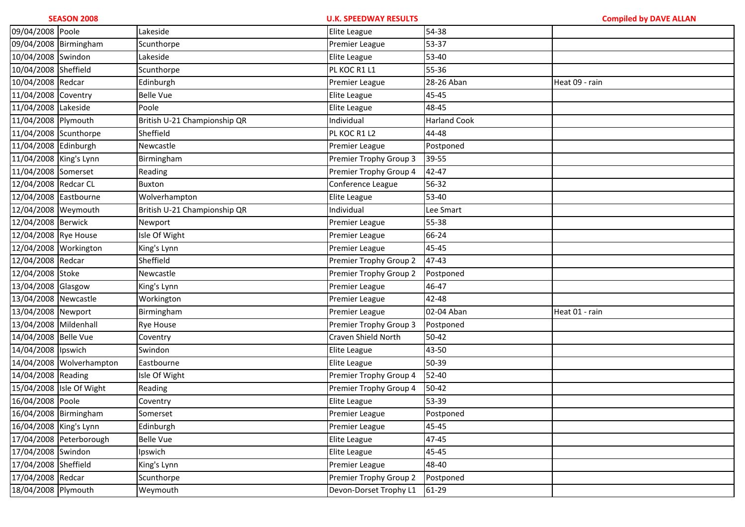| 09/04/2008 Poole       |                          | Lakeside                     | Elite League           | 54-38               |                |
|------------------------|--------------------------|------------------------------|------------------------|---------------------|----------------|
| 09/04/2008 Birmingham  |                          | Scunthorpe                   | Premier League         | 53-37               |                |
| 10/04/2008 Swindon     |                          | Lakeside                     | Elite League           | 53-40               |                |
| 10/04/2008 Sheffield   |                          | Scunthorpe                   | PL KOC R1 L1           | 55-36               |                |
| 10/04/2008 Redcar      |                          | Edinburgh                    | Premier League         | 28-26 Aban          | Heat 09 - rain |
| 11/04/2008 Coventry    |                          | <b>Belle Vue</b>             | Elite League           | 45-45               |                |
| 11/04/2008 Lakeside    |                          | Poole                        | Elite League           | 48-45               |                |
| 11/04/2008 Plymouth    |                          | British U-21 Championship QR | Individual             | <b>Harland Cook</b> |                |
| 11/04/2008 Scunthorpe  |                          | Sheffield                    | PL KOC R1 L2           | 44-48               |                |
| 11/04/2008 Edinburgh   |                          | Newcastle                    | Premier League         | Postponed           |                |
| 11/04/2008 King's Lynn |                          | Birmingham                   | Premier Trophy Group 3 | 39-55               |                |
| 11/04/2008 Somerset    |                          | Reading                      | Premier Trophy Group 4 | 42-47               |                |
| 12/04/2008 Redcar CL   |                          | Buxton                       | Conference League      | 56-32               |                |
| 12/04/2008 Eastbourne  |                          | Wolverhampton                | Elite League           | 53-40               |                |
| 12/04/2008 Weymouth    |                          | British U-21 Championship QR | Individual             | Lee Smart           |                |
| 12/04/2008 Berwick     |                          | Newport                      | Premier League         | 55-38               |                |
| 12/04/2008 Rye House   |                          | Isle Of Wight                | Premier League         | 66-24               |                |
| 12/04/2008 Workington  |                          | King's Lynn                  | Premier League         | 45-45               |                |
| 12/04/2008 Redcar      |                          | Sheffield                    | Premier Trophy Group 2 | 47-43               |                |
| 12/04/2008 Stoke       |                          | Newcastle                    | Premier Trophy Group 2 | Postponed           |                |
| 13/04/2008 Glasgow     |                          | King's Lynn                  | Premier League         | 46-47               |                |
| 13/04/2008 Newcastle   |                          | Workington                   | Premier League         | 42-48               |                |
| 13/04/2008 Newport     |                          | Birmingham                   | <b>Premier League</b>  | 02-04 Aban          | Heat 01 - rain |
| 13/04/2008 Mildenhall  |                          | <b>Rye House</b>             | Premier Trophy Group 3 | Postponed           |                |
| 14/04/2008 Belle Vue   |                          | Coventry                     | Craven Shield North    | $50 - 42$           |                |
| 14/04/2008 lpswich     |                          | Swindon                      | Elite League           | 43-50               |                |
|                        | 14/04/2008 Wolverhampton | Eastbourne                   | Elite League           | 50-39               |                |
| 14/04/2008 Reading     |                          | Isle Of Wight                | Premier Trophy Group 4 | 52-40               |                |
|                        | 15/04/2008 Isle Of Wight | Reading                      | Premier Trophy Group 4 | $50 - 42$           |                |
| 16/04/2008 Poole       |                          | Coventry                     | Elite League           | 53-39               |                |
| 16/04/2008 Birmingham  |                          | Somerset                     | Premier League         | Postponed           |                |
| 16/04/2008 King's Lynn |                          | Edinburgh                    | Premier League         | 45-45               |                |
|                        | 17/04/2008 Peterborough  | <b>Belle Vue</b>             | Elite League           | 47-45               |                |
| 17/04/2008 Swindon     |                          | Ipswich                      | Elite League           | 45-45               |                |
| 17/04/2008 Sheffield   |                          | King's Lynn                  | Premier League         | 48-40               |                |
| 17/04/2008 Redcar      |                          | Scunthorpe                   | Premier Trophy Group 2 | Postponed           |                |
| 18/04/2008 Plymouth    |                          | Weymouth                     | Devon-Dorset Trophy L1 | 61-29               |                |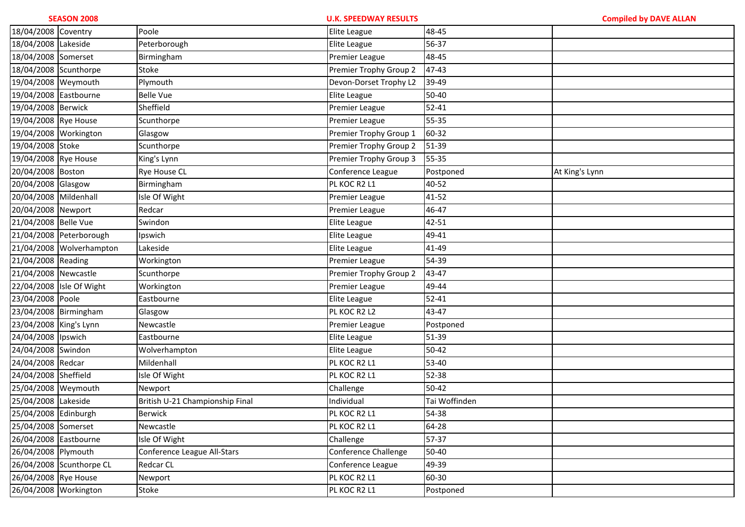| 18/04/2008 Coventry    |                          | Poole                           | Elite League           | 48-45         |                |
|------------------------|--------------------------|---------------------------------|------------------------|---------------|----------------|
| 18/04/2008 Lakeside    |                          | Peterborough                    | Elite League           | 56-37         |                |
| 18/04/2008 Somerset    |                          | Birmingham                      | Premier League         | 48-45         |                |
| 18/04/2008 Scunthorpe  |                          | Stoke                           | Premier Trophy Group 2 | 47-43         |                |
| 19/04/2008 Weymouth    |                          | Plymouth                        | Devon-Dorset Trophy L2 | 39-49         |                |
| 19/04/2008 Eastbourne  |                          | <b>Belle Vue</b>                | Elite League           | 50-40         |                |
| 19/04/2008 Berwick     |                          | Sheffield                       | Premier League         | $52 - 41$     |                |
| 19/04/2008 Rye House   |                          | Scunthorpe                      | Premier League         | 55-35         |                |
| 19/04/2008 Workington  |                          | Glasgow                         | Premier Trophy Group 1 | 60-32         |                |
| 19/04/2008 Stoke       |                          | Scunthorpe                      | Premier Trophy Group 2 | 51-39         |                |
| 19/04/2008 Rye House   |                          | King's Lynn                     | Premier Trophy Group 3 | 55-35         |                |
| 20/04/2008 Boston      |                          | Rye House CL                    | Conference League      | Postponed     | At King's Lynn |
| 20/04/2008 Glasgow     |                          | Birmingham                      | PL KOC R2 L1           | 40-52         |                |
| 20/04/2008 Mildenhall  |                          | Isle Of Wight                   | Premier League         | 41-52         |                |
| 20/04/2008 Newport     |                          | Redcar                          | Premier League         | 46-47         |                |
| 21/04/2008 Belle Vue   |                          | Swindon                         | Elite League           | 42-51         |                |
|                        | 21/04/2008 Peterborough  | Ipswich                         | Elite League           | 49-41         |                |
|                        | 21/04/2008 Wolverhampton | Lakeside                        | Elite League           | 41-49         |                |
| 21/04/2008 Reading     |                          | Workington                      | Premier League         | 54-39         |                |
| 21/04/2008 Newcastle   |                          | Scunthorpe                      | Premier Trophy Group 2 | 43-47         |                |
|                        | 22/04/2008 Isle Of Wight | Workington                      | Premier League         | 49-44         |                |
| 23/04/2008 Poole       |                          | Eastbourne                      | Elite League           | $52 - 41$     |                |
| 23/04/2008 Birmingham  |                          | Glasgow                         | PL KOC R2 L2           | 43-47         |                |
| 23/04/2008 King's Lynn |                          | Newcastle                       | Premier League         | Postponed     |                |
| 24/04/2008 Ipswich     |                          | Eastbourne                      | Elite League           | 51-39         |                |
| 24/04/2008 Swindon     |                          | Wolverhampton                   | Elite League           | 50-42         |                |
| 24/04/2008 Redcar      |                          | Mildenhall                      | PL KOC R2 L1           | 53-40         |                |
| 24/04/2008 Sheffield   |                          | Isle Of Wight                   | PL KOC R2 L1           | 52-38         |                |
| 25/04/2008 Weymouth    |                          | Newport                         | Challenge              | $50 - 42$     |                |
| 25/04/2008 Lakeside    |                          | British U-21 Championship Final | Individual             | Tai Woffinden |                |
| 25/04/2008 Edinburgh   |                          | <b>Berwick</b>                  | PL KOC R2 L1           | 54-38         |                |
| 25/04/2008 Somerset    |                          | Newcastle                       | PL KOC R2 L1           | 64-28         |                |
| 26/04/2008 Eastbourne  |                          | Isle Of Wight                   | Challenge              | 57-37         |                |
| 26/04/2008 Plymouth    |                          | Conference League All-Stars     | Conference Challenge   | 50-40         |                |
|                        | 26/04/2008 Scunthorpe CL | <b>Redcar CL</b>                | Conference League      | 49-39         |                |
| 26/04/2008 Rye House   |                          | Newport                         | PL KOC R2 L1           | 60-30         |                |
| 26/04/2008 Workington  |                          | Stoke                           | PL KOC R2 L1           | Postponed     |                |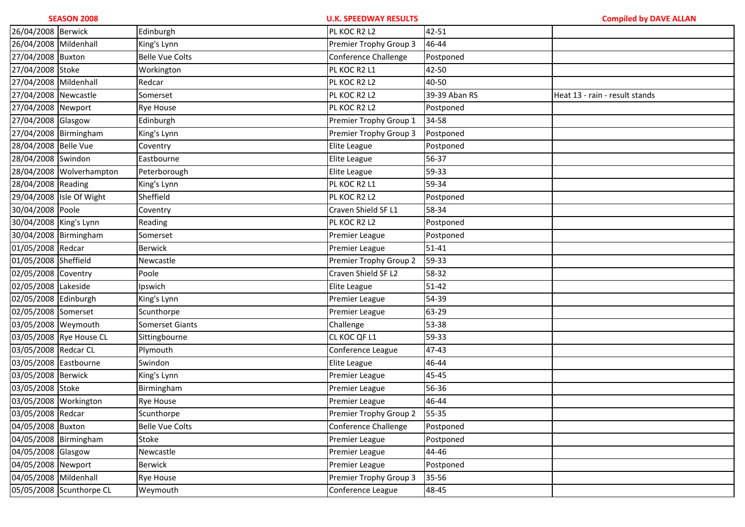|                        | <b>SEASON 2008</b>       |                        | <b>U.K. SPEEDWAY RESULTS</b> |               | <b>Compiled by DAVE ALLAN</b>  |
|------------------------|--------------------------|------------------------|------------------------------|---------------|--------------------------------|
| 26/04/2008 Berwick     |                          | Edinburgh              | PL KOC R2 L2                 | 42-51         |                                |
| 26/04/2008 Mildenhall  |                          | King's Lynn            | Premier Trophy Group 3       | 46-44         |                                |
| 27/04/2008 Buxton      |                          | <b>Belle Vue Colts</b> | Conference Challenge         | Postponed     |                                |
| 27/04/2008 Stoke       |                          | Workington             | PL KOC R2 L1                 | 42-50         |                                |
| 27/04/2008 Mildenhall  |                          | Redcar                 | PL KOC R2 L2                 | 40-50         |                                |
| 27/04/2008 Newcastle   |                          | Somerset               | PL KOC R2 L2                 | 39-39 Aban RS | Heat 13 - rain - result stands |
| 27/04/2008 Newport     |                          | <b>Rye House</b>       | PL KOC R2 L2                 | Postponed     |                                |
| 27/04/2008 Glasgow     |                          | Edinburgh              | Premier Trophy Group 1       | 34-58         |                                |
|                        | 27/04/2008 Birmingham    | King's Lynn            | Premier Trophy Group 3       | Postponed     |                                |
| 28/04/2008 Belle Vue   |                          | Coventry               | Elite League                 | Postponed     |                                |
| 28/04/2008 Swindon     |                          | Eastbourne             | Elite League                 | 56-37         |                                |
|                        | 28/04/2008 Wolverhampton | Peterborough           | Elite League                 | 59-33         |                                |
| 28/04/2008 Reading     |                          | King's Lynn            | PL KOC R2 L1                 | 59-34         |                                |
|                        | 29/04/2008 Isle Of Wight | Sheffield              | PL KOC R2 L2                 | Postponed     |                                |
| 30/04/2008 Poole       |                          | Coventry               | Craven Shield SF L1          | 58-34         |                                |
| 30/04/2008 King's Lynn |                          | Reading                | PL KOC R2 L2                 | Postponed     |                                |
|                        | 30/04/2008 Birmingham    | Somerset               | Premier League               | Postponed     |                                |
| 01/05/2008 Redcar      |                          | <b>Berwick</b>         | Premier League               | $51 - 41$     |                                |
| 01/05/2008 Sheffield   |                          | Newcastle              | Premier Trophy Group 2       | 59-33         |                                |
| 02/05/2008 Coventry    |                          | Poole                  | Craven Shield SF L2          | 58-32         |                                |
| 02/05/2008 Lakeside    |                          | Ipswich                | Elite League                 | $51 - 42$     |                                |
| 02/05/2008 Edinburgh   |                          | King's Lynn            | Premier League               | 54-39         |                                |
| 02/05/2008 Somerset    |                          | Scunthorpe             | Premier League               | 63-29         |                                |
| 03/05/2008 Weymouth    |                          | Somerset Giants        | Challenge                    | 53-38         |                                |
|                        | 03/05/2008 Rye House CL  | Sittingbourne          | CL KOC QF L1                 | 59-33         |                                |
| 03/05/2008 Redcar CL   |                          | Plymouth               | Conference League            | 47-43         |                                |
| 03/05/2008 Eastbourne  |                          | Swindon                | Elite League                 | 46-44         |                                |
| 03/05/2008 Berwick     |                          | King's Lynn            | Premier League               | 45-45         |                                |
| 03/05/2008 Stoke       |                          | Birmingham             | Premier League               | 56-36         |                                |
|                        | 03/05/2008 Workington    | <b>Rye House</b>       | Premier League               | 46-44         |                                |
| 03/05/2008 Redcar      |                          | Scunthorpe             | Premier Trophy Group 2       | 55-35         |                                |
| 04/05/2008 Buxton      |                          | <b>Belle Vue Colts</b> | Conference Challenge         | Postponed     |                                |
|                        | 04/05/2008 Birmingham    | Stoke                  | Premier League               | Postponed     |                                |
| 04/05/2008 Glasgow     |                          | Newcastle              | Premier League               | 44-46         |                                |
| 04/05/2008 Newport     |                          | Berwick                | Premier League               | Postponed     |                                |
| 04/05/2008 Mildenhall  |                          | <b>Rye House</b>       | Premier Trophy Group 3       | 35-56         |                                |
|                        | 05/05/2008 Scunthorpe CL | Weymouth               | Conference League            | 48-45         |                                |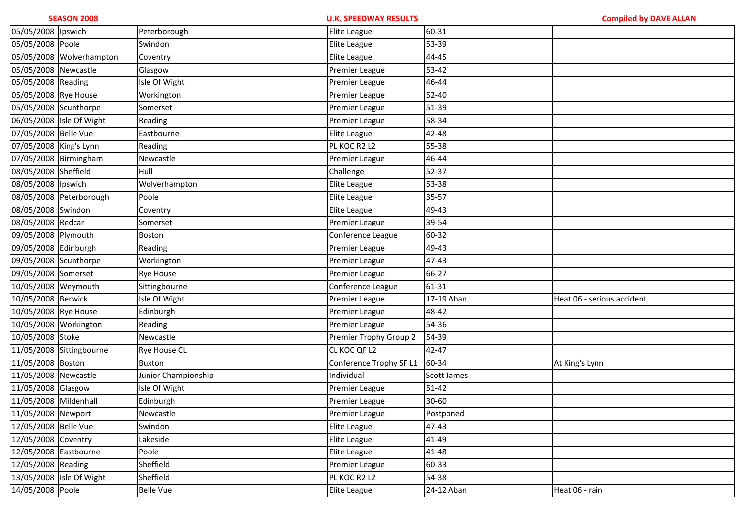| 05/05/2008 Ipswich     |                          | Peterborough        | <b>Elite League</b>     | 60-31              |                            |
|------------------------|--------------------------|---------------------|-------------------------|--------------------|----------------------------|
| 05/05/2008 Poole       |                          | Swindon             | Elite League            | 53-39              |                            |
|                        | 05/05/2008 Wolverhampton | Coventry            | Elite League            | 44-45              |                            |
| 05/05/2008 Newcastle   |                          | Glasgow             | Premier League          | 53-42              |                            |
| 05/05/2008 Reading     |                          | Isle Of Wight       | Premier League          | 46-44              |                            |
| 05/05/2008 Rye House   |                          | Workington          | Premier League          | 52-40              |                            |
| 05/05/2008 Scunthorpe  |                          | Somerset            | Premier League          | 51-39              |                            |
|                        | 06/05/2008 Isle Of Wight | Reading             | Premier League          | 58-34              |                            |
| 07/05/2008 Belle Vue   |                          | Eastbourne          | Elite League            | 42-48              |                            |
| 07/05/2008 King's Lynn |                          | Reading             | PL KOC R2 L2            | 55-38              |                            |
| 07/05/2008 Birmingham  |                          | Newcastle           | Premier League          | 46-44              |                            |
| 08/05/2008 Sheffield   |                          | Hull                | Challenge               | 52-37              |                            |
| 08/05/2008 Ipswich     |                          | Wolverhampton       | Elite League            | 53-38              |                            |
|                        | 08/05/2008 Peterborough  | Poole               | Elite League            | 35-57              |                            |
| 08/05/2008 Swindon     |                          | Coventry            | Elite League            | 49-43              |                            |
| 08/05/2008 Redcar      |                          | Somerset            | Premier League          | 39-54              |                            |
| 09/05/2008 Plymouth    |                          | <b>Boston</b>       | Conference League       | 60-32              |                            |
| 09/05/2008 Edinburgh   |                          | Reading             | Premier League          | 49-43              |                            |
| 09/05/2008 Scunthorpe  |                          | Workington          | Premier League          | 47-43              |                            |
| 09/05/2008 Somerset    |                          | <b>Rye House</b>    | Premier League          | 66-27              |                            |
| 10/05/2008 Weymouth    |                          | Sittingbourne       | Conference League       | 61-31              |                            |
| 10/05/2008 Berwick     |                          | Isle Of Wight       | Premier League          | 17-19 Aban         | Heat 06 - serious accident |
| 10/05/2008 Rye House   |                          | Edinburgh           | Premier League          | 48-42              |                            |
| 10/05/2008 Workington  |                          | Reading             | Premier League          | 54-36              |                            |
| 10/05/2008 Stoke       |                          | Newcastle           | Premier Trophy Group 2  | 54-39              |                            |
|                        | 11/05/2008 Sittingbourne | <b>Rye House CL</b> | CL KOC QF L2            | 42-47              |                            |
| 11/05/2008 Boston      |                          | <b>Buxton</b>       | Conference Trophy SF L1 | 60-34              | At King's Lynn             |
| 11/05/2008 Newcastle   |                          | Junior Championship | Individual              | <b>Scott James</b> |                            |
| 11/05/2008 Glasgow     |                          | Isle Of Wight       | Premier League          | $51 - 42$          |                            |
| 11/05/2008 Mildenhall  |                          | Edinburgh           | Premier League          | 30-60              |                            |
| 11/05/2008 Newport     |                          | Newcastle           | Premier League          | Postponed          |                            |
| 12/05/2008 Belle Vue   |                          | Swindon             | <b>Elite League</b>     | 47-43              |                            |
| 12/05/2008 Coventry    |                          | Lakeside            | Elite League            | 41-49              |                            |
| 12/05/2008 Eastbourne  |                          | Poole               | Elite League            | 41-48              |                            |
| 12/05/2008 Reading     |                          | Sheffield           | Premier League          | 60-33              |                            |
|                        | 13/05/2008 Isle Of Wight | Sheffield           | PL KOC R2 L2            | 54-38              |                            |
| 14/05/2008 Poole       |                          | <b>Belle Vue</b>    | Elite League            | 24-12 Aban         | Heat 06 - rain             |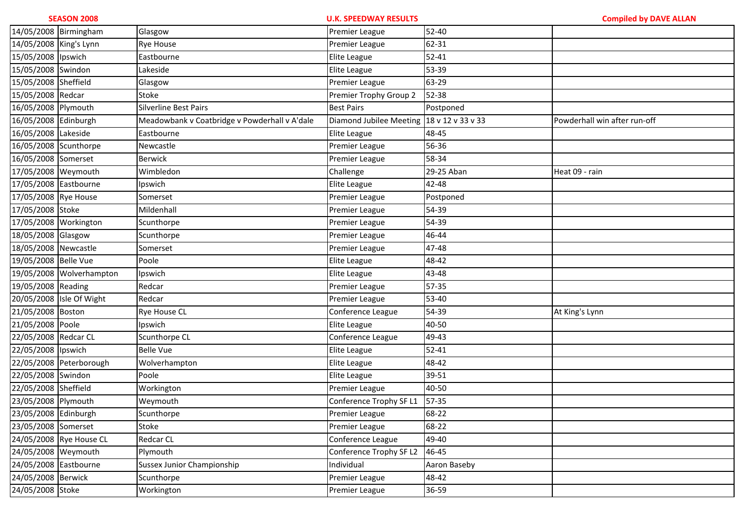| 14/05/2008 Birmingham    |                          | Glasgow                                       | Premier League                            | 52-40        |                              |
|--------------------------|--------------------------|-----------------------------------------------|-------------------------------------------|--------------|------------------------------|
| 14/05/2008 King's Lynn   |                          | Rye House                                     | Premier League                            | 62-31        |                              |
| 15/05/2008 lpswich       |                          | Eastbourne                                    | Elite League                              | $52 - 41$    |                              |
| 15/05/2008 Swindon       |                          | Lakeside                                      | Elite League                              | 53-39        |                              |
| 15/05/2008 Sheffield     |                          | Glasgow                                       | Premier League                            | 63-29        |                              |
| 15/05/2008 Redcar        |                          | Stoke                                         | Premier Trophy Group 2                    | 52-38        |                              |
| 16/05/2008 Plymouth      |                          | Silverline Best Pairs                         | <b>Best Pairs</b>                         | Postponed    |                              |
| 16/05/2008 Edinburgh     |                          | Meadowbank v Coatbridge v Powderhall v A'dale | Diamond Jubilee Meeting 18 v 12 v 33 v 33 |              | Powderhall win after run-off |
| 16/05/2008 Lakeside      |                          | Eastbourne                                    | Elite League                              | 48-45        |                              |
| 16/05/2008 Scunthorpe    |                          | Newcastle                                     | Premier League                            | 56-36        |                              |
| 16/05/2008 Somerset      |                          | <b>Berwick</b>                                | Premier League                            | 58-34        |                              |
| 17/05/2008 Weymouth      |                          | Wimbledon                                     | Challenge                                 | 29-25 Aban   | Heat 09 - rain               |
| 17/05/2008 Eastbourne    |                          | Ipswich                                       | Elite League                              | 42-48        |                              |
| 17/05/2008 Rye House     |                          | Somerset                                      | Premier League                            | Postponed    |                              |
| 17/05/2008 Stoke         |                          | Mildenhall                                    | Premier League                            | 54-39        |                              |
| 17/05/2008 Workington    |                          | Scunthorpe                                    | Premier League                            | 54-39        |                              |
| 18/05/2008 Glasgow       |                          | Scunthorpe                                    | Premier League                            | 46-44        |                              |
| 18/05/2008 Newcastle     |                          | Somerset                                      | <b>Premier League</b>                     | 47-48        |                              |
| 19/05/2008 Belle Vue     |                          | Poole                                         | Elite League                              | 48-42        |                              |
|                          | 19/05/2008 Wolverhampton | Ipswich                                       | Elite League                              | 43-48        |                              |
| 19/05/2008 Reading       |                          | Redcar                                        | Premier League                            | 57-35        |                              |
| 20/05/2008 Isle Of Wight |                          | Redcar                                        | Premier League                            | 53-40        |                              |
| 21/05/2008 Boston        |                          | <b>Rye House CL</b>                           | Conference League                         | 54-39        | At King's Lynn               |
| 21/05/2008 Poole         |                          | Ipswich                                       | Elite League                              | 40-50        |                              |
| 22/05/2008 Redcar CL     |                          | Scunthorpe CL                                 | Conference League                         | 49-43        |                              |
| 22/05/2008 Ipswich       |                          | <b>Belle Vue</b>                              | Elite League                              | $52 - 41$    |                              |
|                          | 22/05/2008 Peterborough  | Wolverhampton                                 | Elite League                              | 48-42        |                              |
| 22/05/2008 Swindon       |                          | Poole                                         | Elite League                              | 39-51        |                              |
| 22/05/2008 Sheffield     |                          | Workington                                    | Premier League                            | 40-50        |                              |
| 23/05/2008 Plymouth      |                          | Weymouth                                      | Conference Trophy SF L1                   | 57-35        |                              |
| 23/05/2008 Edinburgh     |                          | Scunthorpe                                    | Premier League                            | 68-22        |                              |
| 23/05/2008 Somerset      |                          | Stoke                                         | Premier League                            | 68-22        |                              |
| 24/05/2008 Rye House CL  |                          | Redcar CL                                     | Conference League                         | 49-40        |                              |
| 24/05/2008 Weymouth      |                          | Plymouth                                      | Conference Trophy SF L2                   | 46-45        |                              |
| 24/05/2008 Eastbourne    |                          | Sussex Junior Championship                    | Individual                                | Aaron Baseby |                              |
| 24/05/2008 Berwick       |                          | Scunthorpe                                    | Premier League                            | 48-42        |                              |
| 24/05/2008 Stoke         |                          | Workington                                    | Premier League                            | 36-59        |                              |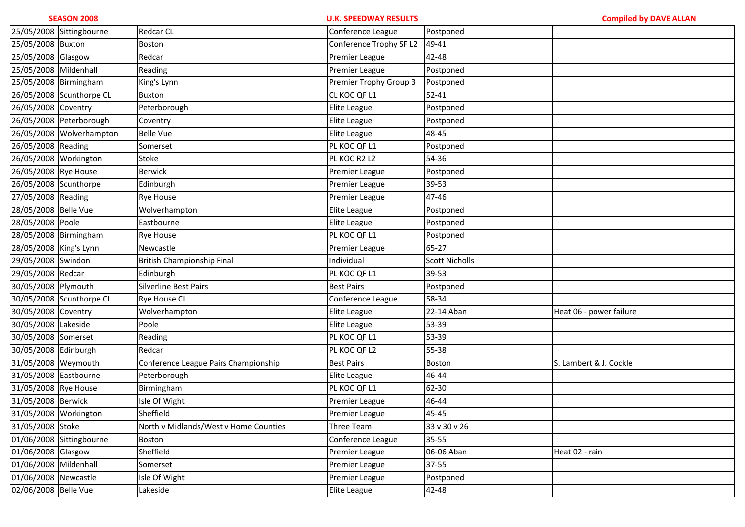**U.K. SPEEDWAY RESULTS Compiled by DAVE ALLAN**25/05/2008 Sittingbourne Redcar CL Conference League Postponed25/05/2008 Buxton Boston Conference Trophy SF L2 49-41 25/05/2008 Glasgow Redcar Redcar Research Research Premier League 42-48 25/05/2008 Mildenhall Reading Reading Reading Premier League Premier League 25/05/2008 Birmingham King's Lynn Premier Trophy Group 3 Postponed 26/05/2008 Scunthorpe CL Buxtonn CL KOC QF L1 52-41 26/05/2008 Coventry Peterborough Peterborough entitled ague Postponed 26/05/2008 Peterborough Coventry Elite League Postponed26/05/2008 | Wolverhampton | Belle Vue | Elite League | Elite League | 48-45 26/05/2008 Reading Somerset Somerset Somerset PL KOC QF L1 Postponed 26/05/2008 Workington Stoke Stoke PL KOC R2 L2 54-36 26/05/2008 Rye House Berwick Berwick Beredict Premier League Premier League 26/05/2008 Scunthorpe EdinburghPremier League 39-53 27/05/2008 Reading Rye House Reading Rye House Reading Rye House Reading Rye House Reading Rye Rye Rye Rye Rye 28/05/2008 Belle Vue Wolverhampton **Elite League** Postponed 28/05/2008 Poole **Eastbourne** East Elite League Postponed 28/05/2008 Birmingham Rye House PL Koc QF L1 Postponed 28/05/2008 King's Lynn Newcastle Newcastle Research Research Research Newcastle Research Research Research Res 29/05/2008 Swindon British Championship Final Individual Scott Nicholls 29/05/2008 Redcar Edinburgh h PL KOC QF L1 39-53 30/05/2008 Plymouth Silverline Best Pairs Best Pairs Postponed30/05/2008 Scunthorpe CL Rye House CL Conference League 58-3430/05/2008 Coventry Wolverhampton **Elite League** 22-14 Aban 2016 Heat 06 - power failure 30/05/2008 Lakeside Poole Poole Poole Elite League 53-39 30/05/2008 Somerset Reading Reading Reading Reading Research Reading Reading Reading Reading Reading Reading R 30/05/2008 Edinburgh Redcar Redcar PL KOC QF L2 55-38 31/05/2008 Weymouth Conference League Pairs Championship Best Pairs Boston Boston S. Lambert & J. Cockle 31/05/2008 Eastbourne Peterborough Peterborough entitled ague and Elite League 146-44 31/05/2008 Rye House Birmingham m PL KOC QF L1 62-30 31/05/2008 Berwick Isle Of Wight Islam Assembly 2008 A Premier League 146-44 31/05/2008 Workington Sheffield Premier League 45-45 31/05/2008 Stoke North v Midlands/West v Home Counties Three Team 33 v 30 v 2601/06/2008 Sittingbourne Boston Conference League 35-55 01/06/2008 Glasgow Sheffield d decree the premier League 106-06 Aban Heat 02 - rain 01/06/2008 Mildenhall Somerset Somerset Premier League 37-55 01/06/2008 Newcastle Sale Isle Of Wight Premier League Premier League Postponed 02/06/2008 Belle Vue Lakeside **Elite League** 42-48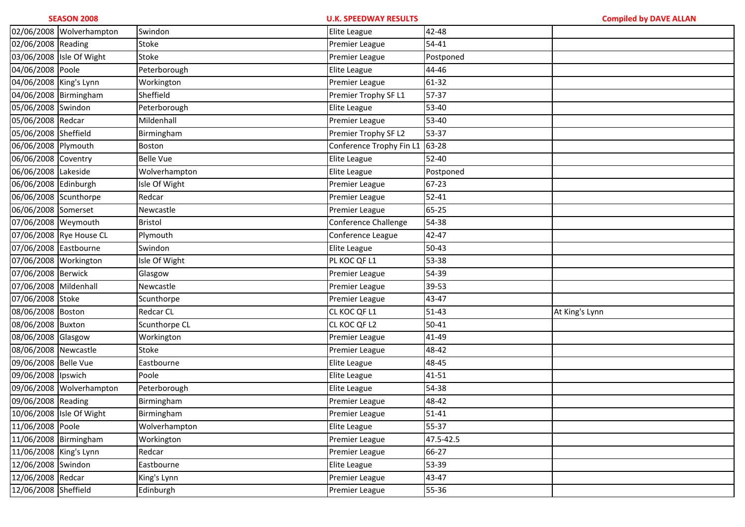|                        | 02/06/2008 Wolverhampton | Swindon          | Elite League             | 42-48     |                |
|------------------------|--------------------------|------------------|--------------------------|-----------|----------------|
| 02/06/2008 Reading     |                          | Stoke            | Premier League           | 54-41     |                |
|                        | 03/06/2008 Isle Of Wight | Stoke            | Premier League           | Postponed |                |
| 04/06/2008 Poole       |                          | Peterborough     | Elite League             | 44-46     |                |
| 04/06/2008 King's Lynn |                          | Workington       | Premier League           | 61-32     |                |
| 04/06/2008 Birmingham  |                          | Sheffield        | Premier Trophy SF L1     | 57-37     |                |
| 05/06/2008 Swindon     |                          | Peterborough     | Elite League             | 53-40     |                |
| 05/06/2008 Redcar      |                          | Mildenhall       | Premier League           | 53-40     |                |
| 05/06/2008 Sheffield   |                          | Birmingham       | Premier Trophy SF L2     | 53-37     |                |
| 06/06/2008 Plymouth    |                          | Boston           | Conference Trophy Fin L1 | 63-28     |                |
| 06/06/2008 Coventry    |                          | <b>Belle Vue</b> | Elite League             | 52-40     |                |
| 06/06/2008 Lakeside    |                          | Wolverhampton    | Elite League             | Postponed |                |
| 06/06/2008 Edinburgh   |                          | Isle Of Wight    | Premier League           | 67-23     |                |
| 06/06/2008 Scunthorpe  |                          | Redcar           | Premier League           | $52 - 41$ |                |
| 06/06/2008 Somerset    |                          | Newcastle        | Premier League           | 65-25     |                |
| 07/06/2008 Weymouth    |                          | Bristol          | Conference Challenge     | 54-38     |                |
|                        | 07/06/2008 Rye House CL  | Plymouth         | Conference League        | 42-47     |                |
| 07/06/2008 Eastbourne  |                          | Swindon          | Elite League             | $50 - 43$ |                |
| 07/06/2008 Workington  |                          | Isle Of Wight    | PL KOC QF L1             | 53-38     |                |
| 07/06/2008 Berwick     |                          | Glasgow          | Premier League           | 54-39     |                |
| 07/06/2008 Mildenhall  |                          | Newcastle        | Premier League           | 39-53     |                |
| 07/06/2008 Stoke       |                          | Scunthorpe       | Premier League           | 43-47     |                |
| 08/06/2008 Boston      |                          | Redcar CL        | CL KOC QF L1             | $51 - 43$ | At King's Lynn |
| 08/06/2008 Buxton      |                          | Scunthorpe CL    | CL KOC QF L2             | 50-41     |                |
| 08/06/2008 Glasgow     |                          | Workington       | Premier League           | 41-49     |                |
| 08/06/2008 Newcastle   |                          | Stoke            | Premier League           | 48-42     |                |
| 09/06/2008 Belle Vue   |                          | Eastbourne       | Elite League             | 48-45     |                |
| 09/06/2008 lpswich     |                          | Poole            | Elite League             | 41-51     |                |
|                        | 09/06/2008 Wolverhampton | Peterborough     | Elite League             | 54-38     |                |
| 09/06/2008 Reading     |                          | Birmingham       | Premier League           | 48-42     |                |
|                        | 10/06/2008 Isle Of Wight | Birmingham       | Premier League           | $51 - 41$ |                |
| 11/06/2008 Poole       |                          | Wolverhampton    | Elite League             | 55-37     |                |
| 11/06/2008 Birmingham  |                          | Workington       | Premier League           | 47.5-42.5 |                |
| 11/06/2008 King's Lynn |                          | Redcar           | Premier League           | 66-27     |                |
| 12/06/2008 Swindon     |                          | Eastbourne       | Elite League             | 53-39     |                |
| 12/06/2008 Redcar      |                          | King's Lynn      | Premier League           | 43-47     |                |
| 12/06/2008 Sheffield   |                          | Edinburgh        | Premier League           | 55-36     |                |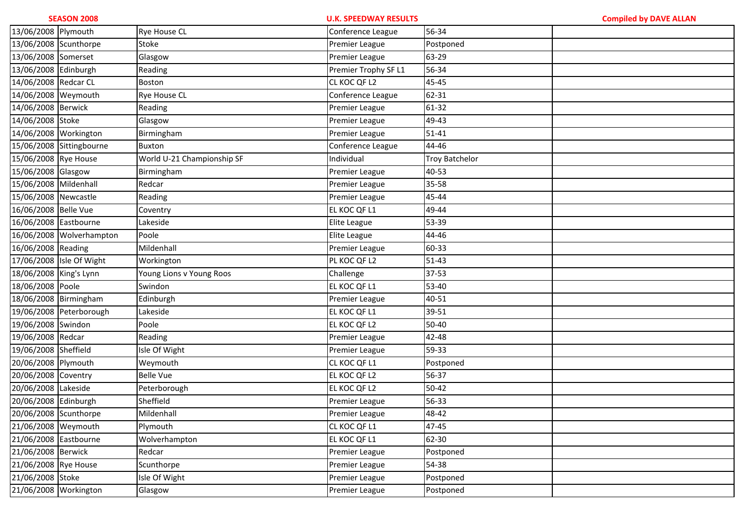| 13/06/2008 Plymouth    |                          | <b>Rye House CL</b>        | Conference League     | 56-34                 |  |
|------------------------|--------------------------|----------------------------|-----------------------|-----------------------|--|
| 13/06/2008 Scunthorpe  |                          | Stoke                      | Premier League        | Postponed             |  |
| 13/06/2008 Somerset    |                          | Glasgow                    | Premier League        | 63-29                 |  |
| 13/06/2008 Edinburgh   |                          | Reading                    | Premier Trophy SF L1  | 56-34                 |  |
| 14/06/2008 Redcar CL   |                          | Boston                     | CL KOC QF L2          | 45-45                 |  |
| 14/06/2008 Weymouth    |                          | Rye House CL               | Conference League     | 62-31                 |  |
| 14/06/2008 Berwick     |                          | Reading                    | Premier League        | 61-32                 |  |
| 14/06/2008 Stoke       |                          | Glasgow                    | Premier League        | 49-43                 |  |
| 14/06/2008 Workington  |                          | Birmingham                 | Premier League        | $51-41$               |  |
|                        | 15/06/2008 Sittingbourne | Buxton                     | Conference League     | 44-46                 |  |
| 15/06/2008 Rye House   |                          | World U-21 Championship SF | Individual            | <b>Troy Batchelor</b> |  |
| 15/06/2008 Glasgow     |                          | Birmingham                 | Premier League        | 40-53                 |  |
| 15/06/2008 Mildenhall  |                          | Redcar                     | Premier League        | 35-58                 |  |
| 15/06/2008 Newcastle   |                          | Reading                    | Premier League        | 45-44                 |  |
| 16/06/2008 Belle Vue   |                          | Coventry                   | EL KOC QF L1          | 49-44                 |  |
| 16/06/2008 Eastbourne  |                          | Lakeside                   | Elite League          | 53-39                 |  |
|                        | 16/06/2008 Wolverhampton | Poole                      | Elite League          | 44-46                 |  |
| 16/06/2008 Reading     |                          | Mildenhall                 | Premier League        | 60-33                 |  |
|                        | 17/06/2008 Isle Of Wight | Workington                 | PL KOC QF L2          | $51 - 43$             |  |
| 18/06/2008 King's Lynn |                          | Young Lions v Young Roos   | Challenge             | 37-53                 |  |
| 18/06/2008 Poole       |                          | Swindon                    | EL KOC QF L1          | 53-40                 |  |
| 18/06/2008 Birmingham  |                          | Edinburgh                  | Premier League        | 40-51                 |  |
|                        | 19/06/2008 Peterborough  | Lakeside                   | EL KOC QF L1          | 39-51                 |  |
| 19/06/2008 Swindon     |                          | Poole                      | EL KOC QF L2          | 50-40                 |  |
| 19/06/2008 Redcar      |                          | Reading                    | Premier League        | 42-48                 |  |
| 19/06/2008 Sheffield   |                          | Isle Of Wight              | Premier League        | 59-33                 |  |
| 20/06/2008 Plymouth    |                          | Weymouth                   | CL KOC QF L1          | Postponed             |  |
| 20/06/2008 Coventry    |                          | <b>Belle Vue</b>           | EL KOC QF L2          | 56-37                 |  |
| 20/06/2008 Lakeside    |                          | Peterborough               | EL KOC QF L2          | 50-42                 |  |
| 20/06/2008 Edinburgh   |                          | Sheffield                  | Premier League        | 56-33                 |  |
| 20/06/2008 Scunthorpe  |                          | Mildenhall                 | Premier League        | 48-42                 |  |
| 21/06/2008 Weymouth    |                          | Plymouth                   | CL KOC QF L1          | 47-45                 |  |
| 21/06/2008 Eastbourne  |                          | Wolverhampton              | EL KOC QF L1          | 62-30                 |  |
| 21/06/2008 Berwick     |                          | Redcar                     | <b>Premier League</b> | Postponed             |  |
| 21/06/2008 Rye House   |                          | Scunthorpe                 | <b>Premier League</b> | 54-38                 |  |
| 21/06/2008 Stoke       |                          | Isle Of Wight              | <b>Premier League</b> | Postponed             |  |
| 21/06/2008 Workington  |                          | Glasgow                    | Premier League        | Postponed             |  |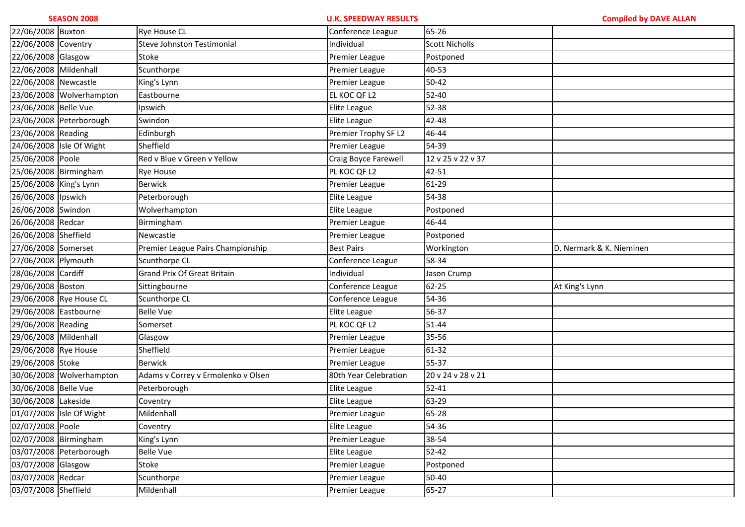| 22/06/2008 Buxton      |                          | Rye House CL                       | Conference League     | 65-26                 |                          |
|------------------------|--------------------------|------------------------------------|-----------------------|-----------------------|--------------------------|
| 22/06/2008 Coventry    |                          | Steve Johnston Testimonial         | Individual            | <b>Scott Nicholls</b> |                          |
| 22/06/2008 Glasgow     |                          | Stoke                              | Premier League        | Postponed             |                          |
| 22/06/2008 Mildenhall  |                          | Scunthorpe                         | Premier League        | 40-53                 |                          |
| 22/06/2008 Newcastle   |                          | King's Lynn                        | Premier League        | $50 - 42$             |                          |
|                        | 23/06/2008 Wolverhampton | Eastbourne                         | EL KOC QF L2          | 52-40                 |                          |
| 23/06/2008 Belle Vue   |                          | Ipswich                            | Elite League          | 52-38                 |                          |
|                        | 23/06/2008 Peterborough  | Swindon                            | Elite League          | 42-48                 |                          |
| 23/06/2008 Reading     |                          | Edinburgh                          | Premier Trophy SF L2  | 46-44                 |                          |
|                        | 24/06/2008 Isle Of Wight | Sheffield                          | Premier League        | 54-39                 |                          |
| 25/06/2008 Poole       |                          | Red v Blue v Green v Yellow        | Craig Boyce Farewell  | 12 v 25 v 22 v 37     |                          |
| 25/06/2008 Birmingham  |                          | <b>Rye House</b>                   | PL KOC QF L2          | 42-51                 |                          |
| 25/06/2008 King's Lynn |                          | <b>Berwick</b>                     | Premier League        | 61-29                 |                          |
| 26/06/2008 lpswich     |                          | Peterborough                       | Elite League          | 54-38                 |                          |
| 26/06/2008 Swindon     |                          | Wolverhampton                      | Elite League          | Postponed             |                          |
| 26/06/2008 Redcar      |                          | Birmingham                         | Premier League        | 46-44                 |                          |
| 26/06/2008 Sheffield   |                          | Newcastle                          | Premier League        | Postponed             |                          |
| 27/06/2008 Somerset    |                          | Premier League Pairs Championship  | <b>Best Pairs</b>     | Workington            | D. Nermark & K. Nieminen |
| 27/06/2008 Plymouth    |                          | Scunthorpe CL                      | Conference League     | 58-34                 |                          |
| 28/06/2008 Cardiff     |                          | <b>Grand Prix Of Great Britain</b> | Individual            | Jason Crump           |                          |
| 29/06/2008 Boston      |                          | Sittingbourne                      | Conference League     | 62-25                 | At King's Lynn           |
|                        | 29/06/2008 Rye House CL  | Scunthorpe CL                      | Conference League     | 54-36                 |                          |
| 29/06/2008 Eastbourne  |                          | <b>Belle Vue</b>                   | Elite League          | 56-37                 |                          |
| 29/06/2008 Reading     |                          | Somerset                           | PL KOC QF L2          | 51-44                 |                          |
| 29/06/2008 Mildenhall  |                          | Glasgow                            | Premier League        | 35-56                 |                          |
| 29/06/2008 Rye House   |                          | Sheffield                          | Premier League        | 61-32                 |                          |
| 29/06/2008 Stoke       |                          | Berwick                            | Premier League        | 55-37                 |                          |
|                        | 30/06/2008 Wolverhampton | Adams v Correy v Ermolenko v Olsen | 80th Year Celebration | 20 v 24 v 28 v 21     |                          |
| 30/06/2008 Belle Vue   |                          | Peterborough                       | Elite League          | $52 - 41$             |                          |
| 30/06/2008 Lakeside    |                          | Coventry                           | Elite League          | 63-29                 |                          |
|                        | 01/07/2008 Isle Of Wight | Mildenhall                         | Premier League        | 65-28                 |                          |
| 02/07/2008 Poole       |                          | Coventry                           | Elite League          | 54-36                 |                          |
| 02/07/2008 Birmingham  |                          | King's Lynn                        | <b>Premier League</b> | 38-54                 |                          |
|                        | 03/07/2008 Peterborough  | <b>Belle Vue</b>                   | Elite League          | $52 - 42$             |                          |
| 03/07/2008 Glasgow     |                          | Stoke                              | Premier League        | Postponed             |                          |
| 03/07/2008 Redcar      |                          | Scunthorpe                         | Premier League        | 50-40                 |                          |
| 03/07/2008 Sheffield   |                          | Mildenhall                         | <b>Premier League</b> | 65-27                 |                          |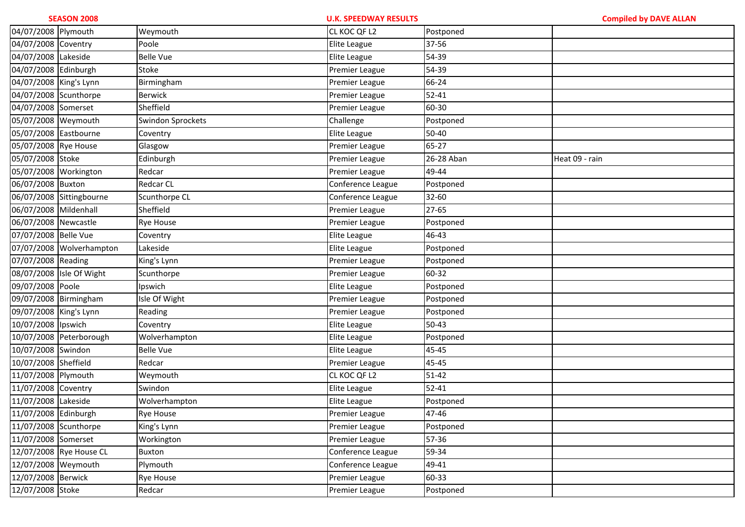| 04/07/2008 Plymouth    |                          | Weymouth          | CL KOC QF L2          | Postponed  |                |
|------------------------|--------------------------|-------------------|-----------------------|------------|----------------|
| 04/07/2008 Coventry    |                          | Poole             | Elite League          | 37-56      |                |
| 04/07/2008 Lakeside    |                          | <b>Belle Vue</b>  | Elite League          | 54-39      |                |
| 04/07/2008 Edinburgh   |                          | Stoke             | Premier League        | 54-39      |                |
| 04/07/2008 King's Lynn |                          | Birmingham        | Premier League        | 66-24      |                |
| 04/07/2008 Scunthorpe  |                          | <b>Berwick</b>    | Premier League        | $52 - 41$  |                |
| 04/07/2008 Somerset    |                          | Sheffield         | Premier League        | 60-30      |                |
| 05/07/2008 Weymouth    |                          | Swindon Sprockets | Challenge             | Postponed  |                |
| 05/07/2008 Eastbourne  |                          | Coventry          | Elite League          | 50-40      |                |
| 05/07/2008 Rye House   |                          | Glasgow           | Premier League        | 65-27      |                |
| 05/07/2008 Stoke       |                          | Edinburgh         | Premier League        | 26-28 Aban | Heat 09 - rain |
| 05/07/2008 Workington  |                          | Redcar            | Premier League        | 49-44      |                |
| 06/07/2008 Buxton      |                          | Redcar CL         | Conference League     | Postponed  |                |
|                        | 06/07/2008 Sittingbourne | Scunthorpe CL     | Conference League     | 32-60      |                |
| 06/07/2008 Mildenhall  |                          | Sheffield         | Premier League        | 27-65      |                |
| 06/07/2008 Newcastle   |                          | Rye House         | Premier League        | Postponed  |                |
| 07/07/2008 Belle Vue   |                          | Coventry          | Elite League          | 46-43      |                |
|                        | 07/07/2008 Wolverhampton | Lakeside          | Elite League          | Postponed  |                |
| 07/07/2008 Reading     |                          | King's Lynn       | Premier League        | Postponed  |                |
|                        | 08/07/2008 Isle Of Wight | Scunthorpe        | Premier League        | 60-32      |                |
| 09/07/2008 Poole       |                          | Ipswich           | Elite League          | Postponed  |                |
| 09/07/2008 Birmingham  |                          | Isle Of Wight     | Premier League        | Postponed  |                |
| 09/07/2008 King's Lynn |                          | Reading           | Premier League        | Postponed  |                |
| 10/07/2008 Ipswich     |                          | Coventry          | Elite League          | $50 - 43$  |                |
|                        | 10/07/2008 Peterborough  | Wolverhampton     | Elite League          | Postponed  |                |
| 10/07/2008 Swindon     |                          | <b>Belle Vue</b>  | Elite League          | 45-45      |                |
| 10/07/2008 Sheffield   |                          | Redcar            | Premier League        | 45-45      |                |
| 11/07/2008 Plymouth    |                          | Weymouth          | CL KOC QF L2          | $51 - 42$  |                |
| 11/07/2008 Coventry    |                          | Swindon           | Elite League          | $52 - 41$  |                |
| 11/07/2008 Lakeside    |                          | Wolverhampton     | Elite League          | Postponed  |                |
| 11/07/2008 Edinburgh   |                          | <b>Rye House</b>  | Premier League        | 47-46      |                |
| 11/07/2008 Scunthorpe  |                          | King's Lynn       | <b>Premier League</b> | Postponed  |                |
| 11/07/2008 Somerset    |                          | Workington        | Premier League        | 57-36      |                |
|                        | 12/07/2008 Rye House CL  | <b>Buxton</b>     | Conference League     | 59-34      |                |
| 12/07/2008 Weymouth    |                          | Plymouth          | Conference League     | 49-41      |                |
| 12/07/2008 Berwick     |                          | Rye House         | <b>Premier League</b> | 60-33      |                |
| 12/07/2008 Stoke       |                          | Redcar            | Premier League        | Postponed  |                |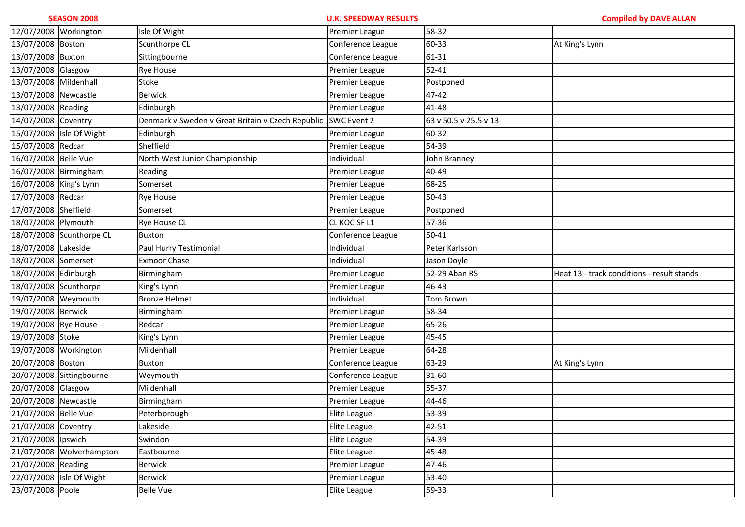| 12/07/2008 Workington    |                          | Isle Of Wight                                     | Premier League    | 58-32                 |                                            |
|--------------------------|--------------------------|---------------------------------------------------|-------------------|-----------------------|--------------------------------------------|
| 13/07/2008 Boston        |                          | Scunthorpe CL                                     | Conference League | 60-33                 | At King's Lynn                             |
| 13/07/2008 Buxton        |                          | Sittingbourne                                     | Conference League | 61-31                 |                                            |
| 13/07/2008 Glasgow       |                          | <b>Rye House</b>                                  | Premier League    | $52 - 41$             |                                            |
| 13/07/2008 Mildenhall    |                          | Stoke                                             | Premier League    | Postponed             |                                            |
| 13/07/2008 Newcastle     |                          | <b>Berwick</b>                                    | Premier League    | 47-42                 |                                            |
| 13/07/2008 Reading       |                          | Edinburgh                                         | Premier League    | 41-48                 |                                            |
| 14/07/2008 Coventry      |                          | Denmark v Sweden v Great Britain v Czech Republic | SWC Event 2       | 63 v 50.5 v 25.5 v 13 |                                            |
|                          | 15/07/2008 Isle Of Wight | Edinburgh                                         | Premier League    | 60-32                 |                                            |
| 15/07/2008 Redcar        |                          | Sheffield                                         | Premier League    | 54-39                 |                                            |
| 16/07/2008 Belle Vue     |                          | North West Junior Championship                    | Individual        | John Branney          |                                            |
|                          | 16/07/2008 Birmingham    | Reading                                           | Premier League    | 40-49                 |                                            |
| 16/07/2008 King's Lynn   |                          | Somerset                                          | Premier League    | 68-25                 |                                            |
| 17/07/2008 Redcar        |                          | Rye House                                         | Premier League    | 50-43                 |                                            |
| 17/07/2008 Sheffield     |                          | Somerset                                          | Premier League    | Postponed             |                                            |
| 18/07/2008 Plymouth      |                          | Rye House CL                                      | CL KOC SF L1      | 57-36                 |                                            |
|                          | 18/07/2008 Scunthorpe CL | <b>Buxton</b>                                     | Conference League | 50-41                 |                                            |
| 18/07/2008 Lakeside      |                          | Paul Hurry Testimonial                            | Individual        | Peter Karlsson        |                                            |
| 18/07/2008 Somerset      |                          | <b>Exmoor Chase</b>                               | Individual        | Jason Doyle           |                                            |
| 18/07/2008 Edinburgh     |                          | Birmingham                                        | Premier League    | 52-29 Aban RS         | Heat 13 - track conditions - result stands |
| 18/07/2008 Scunthorpe    |                          | King's Lynn                                       | Premier League    | 46-43                 |                                            |
| 19/07/2008 Weymouth      |                          | <b>Bronze Helmet</b>                              | Individual        | Tom Brown             |                                            |
| 19/07/2008 Berwick       |                          | Birmingham                                        | Premier League    | 58-34                 |                                            |
| 19/07/2008 Rye House     |                          | Redcar                                            | Premier League    | 65-26                 |                                            |
| 19/07/2008 Stoke         |                          | King's Lynn                                       | Premier League    | 45-45                 |                                            |
| 19/07/2008 Workington    |                          | Mildenhall                                        | Premier League    | 64-28                 |                                            |
| 20/07/2008 Boston        |                          | <b>Buxton</b>                                     | Conference League | 63-29                 | At King's Lynn                             |
|                          | 20/07/2008 Sittingbourne | Weymouth                                          | Conference League | 31-60                 |                                            |
| 20/07/2008 Glasgow       |                          | Mildenhall                                        | Premier League    | 55-37                 |                                            |
| 20/07/2008 Newcastle     |                          | Birmingham                                        | Premier League    | 44-46                 |                                            |
| 21/07/2008 Belle Vue     |                          | Peterborough                                      | Elite League      | 53-39                 |                                            |
| 21/07/2008 Coventry      |                          | Lakeside                                          | Elite League      | 42-51                 |                                            |
| 21/07/2008 lpswich       |                          | Swindon                                           | Elite League      | 54-39                 |                                            |
| 21/07/2008 Wolverhampton |                          | Eastbourne                                        | Elite League      | 45-48                 |                                            |
|                          |                          |                                                   |                   |                       |                                            |
| 21/07/2008 Reading       |                          | <b>Berwick</b>                                    | Premier League    | 47-46                 |                                            |
| 23/07/2008 Poole         | 22/07/2008 Isle Of Wight | Berwick                                           | Premier League    | 53-40                 |                                            |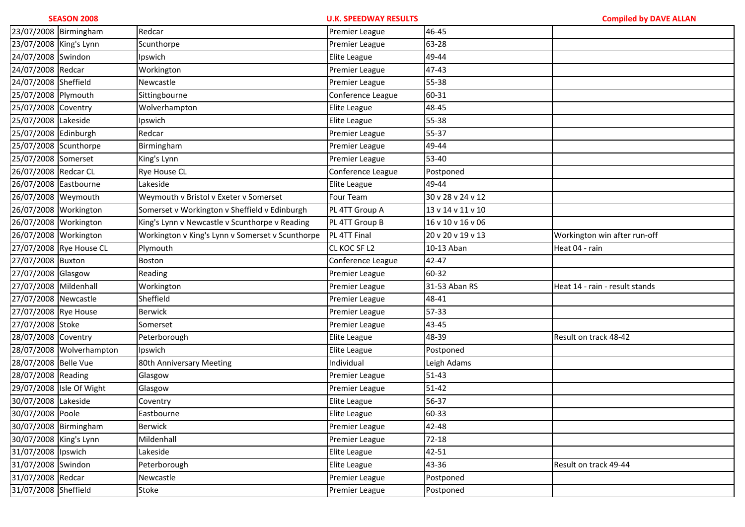| 23/07/2008 Birmingham  |                          | Redcar                                           | Premier League        | 46-45             |                                |
|------------------------|--------------------------|--------------------------------------------------|-----------------------|-------------------|--------------------------------|
| 23/07/2008 King's Lynn |                          | Scunthorpe                                       | Premier League        | 63-28             |                                |
| 24/07/2008 Swindon     |                          | Ipswich                                          | Elite League          | 49-44             |                                |
| 24/07/2008 Redcar      |                          | Workington                                       | Premier League        | 47-43             |                                |
| 24/07/2008 Sheffield   |                          | Newcastle                                        | Premier League        | 55-38             |                                |
| 25/07/2008 Plymouth    |                          | Sittingbourne                                    | Conference League     | 60-31             |                                |
| 25/07/2008 Coventry    |                          | Wolverhampton                                    | Elite League          | 48-45             |                                |
| 25/07/2008 Lakeside    |                          | Ipswich                                          | Elite League          | 55-38             |                                |
| 25/07/2008 Edinburgh   |                          | Redcar                                           | Premier League        | 55-37             |                                |
| 25/07/2008 Scunthorpe  |                          | Birmingham                                       | Premier League        | 49-44             |                                |
| 25/07/2008 Somerset    |                          | King's Lynn                                      | Premier League        | 53-40             |                                |
| 26/07/2008 Redcar CL   |                          | Rye House CL                                     | Conference League     | Postponed         |                                |
| 26/07/2008 Eastbourne  |                          | Lakeside                                         | Elite League          | 49-44             |                                |
| 26/07/2008 Weymouth    |                          | Weymouth v Bristol v Exeter v Somerset           | Four Team             | 30 v 28 v 24 v 12 |                                |
| 26/07/2008 Workington  |                          | Somerset v Workington v Sheffield v Edinburgh    | PL 4TT Group A        | 13 v 14 v 11 v 10 |                                |
| 26/07/2008 Workington  |                          | King's Lynn v Newcastle v Scunthorpe v Reading   | PL 4TT Group B        | 16 v 10 v 16 v 06 |                                |
| 26/07/2008 Workington  |                          | Workington v King's Lynn v Somerset v Scunthorpe | PL 4TT Final          | 20 v 20 v 19 v 13 | Workington win after run-off   |
|                        | 27/07/2008 Rye House CL  | Plymouth                                         | CL KOC SF L2          | 10-13 Aban        | Heat 04 - rain                 |
| 27/07/2008 Buxton      |                          | Boston                                           | Conference League     | 42-47             |                                |
| 27/07/2008 Glasgow     |                          | Reading                                          | Premier League        | 60-32             |                                |
| 27/07/2008 Mildenhall  |                          | Workington                                       | Premier League        | 31-53 Aban RS     | Heat 14 - rain - result stands |
| 27/07/2008 Newcastle   |                          | Sheffield                                        | Premier League        | 48-41             |                                |
| 27/07/2008 Rye House   |                          | <b>Berwick</b>                                   | Premier League        | 57-33             |                                |
| 27/07/2008 Stoke       |                          | Somerset                                         | Premier League        | 43-45             |                                |
| 28/07/2008 Coventry    |                          | Peterborough                                     | Elite League          | 48-39             | Result on track 48-42          |
|                        | 28/07/2008 Wolverhampton | Ipswich                                          | Elite League          | Postponed         |                                |
| 28/07/2008 Belle Vue   |                          | 80th Anniversary Meeting                         | Individual            | Leigh Adams       |                                |
| 28/07/2008 Reading     |                          | Glasgow                                          | Premier League        | $51 - 43$         |                                |
|                        | 29/07/2008 Isle Of Wight | Glasgow                                          | Premier League        | $51 - 42$         |                                |
| 30/07/2008 Lakeside    |                          | Coventry                                         | Elite League          | 56-37             |                                |
| 30/07/2008 Poole       |                          | Eastbourne                                       | Elite League          | 60-33             |                                |
| 30/07/2008 Birmingham  |                          | <b>Berwick</b>                                   | <b>Premier League</b> | 42-48             |                                |
| 30/07/2008 King's Lynn |                          | Mildenhall                                       | Premier League        | $72 - 18$         |                                |
| 31/07/2008 Ipswich     |                          | Lakeside                                         | Elite League          | 42-51             |                                |
| 31/07/2008 Swindon     |                          | Peterborough                                     | Elite League          | 43-36             | Result on track 49-44          |
| 31/07/2008 Redcar      |                          | Newcastle                                        | Premier League        | Postponed         |                                |
| 31/07/2008 Sheffield   |                          | Stoke                                            | Premier League        | Postponed         |                                |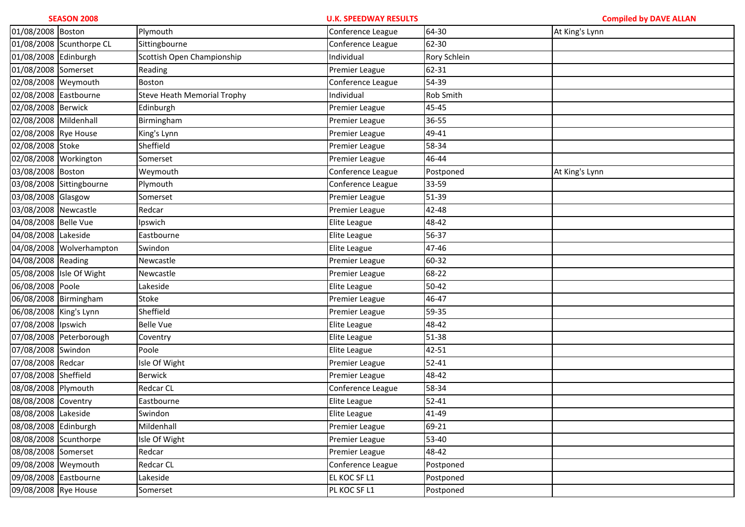| 01/08/2008 Boston      |                          | Plymouth                           | Conference League | 64-30        | At King's Lynn |
|------------------------|--------------------------|------------------------------------|-------------------|--------------|----------------|
|                        | 01/08/2008 Scunthorpe CL | Sittingbourne                      | Conference League | 62-30        |                |
| 01/08/2008 Edinburgh   |                          | Scottish Open Championship         | Individual        | Rory Schlein |                |
| 01/08/2008 Somerset    |                          | Reading                            | Premier League    | 62-31        |                |
| 02/08/2008 Weymouth    |                          | Boston                             | Conference League | 54-39        |                |
| 02/08/2008 Eastbourne  |                          | <b>Steve Heath Memorial Trophy</b> | Individual        | Rob Smith    |                |
| 02/08/2008 Berwick     |                          | Edinburgh                          | Premier League    | 45-45        |                |
| 02/08/2008 Mildenhall  |                          | Birmingham                         | Premier League    | 36-55        |                |
| 02/08/2008 Rye House   |                          | King's Lynn                        | Premier League    | 49-41        |                |
| 02/08/2008 Stoke       |                          | Sheffield                          | Premier League    | 58-34        |                |
| 02/08/2008 Workington  |                          | Somerset                           | Premier League    | 46-44        |                |
| 03/08/2008 Boston      |                          | Weymouth                           | Conference League | Postponed    | At King's Lynn |
|                        | 03/08/2008 Sittingbourne | Plymouth                           | Conference League | 33-59        |                |
| 03/08/2008 Glasgow     |                          | Somerset                           | Premier League    | 51-39        |                |
| 03/08/2008 Newcastle   |                          | Redcar                             | Premier League    | 42-48        |                |
| 04/08/2008 Belle Vue   |                          | Ipswich                            | Elite League      | 48-42        |                |
| 04/08/2008 Lakeside    |                          | Eastbourne                         | Elite League      | 56-37        |                |
|                        | 04/08/2008 Wolverhampton | Swindon                            | Elite League      | 47-46        |                |
| 04/08/2008 Reading     |                          | Newcastle                          | Premier League    | 60-32        |                |
|                        | 05/08/2008 Isle Of Wight | Newcastle                          | Premier League    | 68-22        |                |
| 06/08/2008 Poole       |                          | Lakeside                           | Elite League      | $50 - 42$    |                |
| 06/08/2008 Birmingham  |                          | Stoke                              | Premier League    | 46-47        |                |
| 06/08/2008 King's Lynn |                          | Sheffield                          | Premier League    | 59-35        |                |
| 07/08/2008 Ipswich     |                          | <b>Belle Vue</b>                   | Elite League      | 48-42        |                |
|                        | 07/08/2008 Peterborough  | Coventry                           | Elite League      | 51-38        |                |
| 07/08/2008 Swindon     |                          | Poole                              | Elite League      | 42-51        |                |
| 07/08/2008 Redcar      |                          | Isle Of Wight                      | Premier League    | $52 - 41$    |                |
| 07/08/2008 Sheffield   |                          | <b>Berwick</b>                     | Premier League    | 48-42        |                |
| 08/08/2008 Plymouth    |                          | Redcar CL                          | Conference League | 58-34        |                |
| 08/08/2008 Coventry    |                          | Eastbourne                         | Elite League      | $52 - 41$    |                |
| 08/08/2008 Lakeside    |                          | Swindon                            | Elite League      | 41-49        |                |
| 08/08/2008 Edinburgh   |                          | Mildenhall                         | Premier League    | 69-21        |                |
| 08/08/2008 Scunthorpe  |                          | Isle Of Wight                      | Premier League    | 53-40        |                |
| 08/08/2008 Somerset    |                          | Redcar                             | Premier League    | 48-42        |                |
| 09/08/2008 Weymouth    |                          | <b>Redcar CL</b>                   | Conference League | Postponed    |                |
| 09/08/2008 Eastbourne  |                          | Lakeside                           | EL KOC SF L1      | Postponed    |                |
| 09/08/2008 Rye House   |                          | Somerset                           | PL KOC SF L1      | Postponed    |                |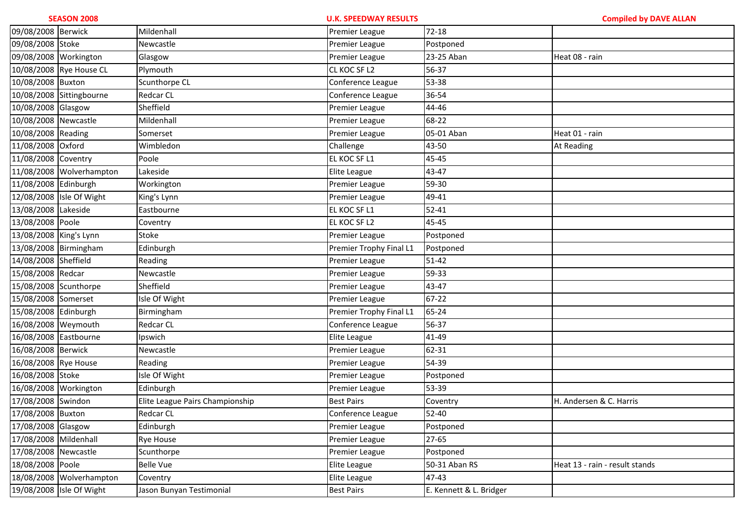| 09/08/2008 Berwick     |                          | Mildenhall                      | Premier League          | $72-18$                 |                                |
|------------------------|--------------------------|---------------------------------|-------------------------|-------------------------|--------------------------------|
| 09/08/2008 Stoke       |                          | Newcastle                       | Premier League          | Postponed               |                                |
| 09/08/2008 Workington  |                          | Glasgow                         | Premier League          | 23-25 Aban              | Heat 08 - rain                 |
|                        | 10/08/2008 Rye House CL  | Plymouth                        | CL KOC SF L2            | 56-37                   |                                |
| 10/08/2008 Buxton      |                          | Scunthorpe CL                   | Conference League       | 53-38                   |                                |
|                        | 10/08/2008 Sittingbourne | <b>Redcar CL</b>                | Conference League       | 36-54                   |                                |
| 10/08/2008 Glasgow     |                          | Sheffield                       | Premier League          | 44-46                   |                                |
| 10/08/2008 Newcastle   |                          | Mildenhall                      | Premier League          | 68-22                   |                                |
| 10/08/2008 Reading     |                          | Somerset                        | Premier League          | 05-01 Aban              | Heat 01 - rain                 |
| 11/08/2008 Oxford      |                          | Wimbledon                       | Challenge               | 43-50                   | At Reading                     |
| 11/08/2008 Coventry    |                          | Poole                           | EL KOC SF L1            | 45-45                   |                                |
|                        | 11/08/2008 Wolverhampton | Lakeside                        | Elite League            | 43-47                   |                                |
| 11/08/2008 Edinburgh   |                          | Workington                      | Premier League          | 59-30                   |                                |
|                        | 12/08/2008 Isle Of Wight | King's Lynn                     | Premier League          | 49-41                   |                                |
| 13/08/2008 Lakeside    |                          | Eastbourne                      | EL KOC SF L1            | 52-41                   |                                |
| 13/08/2008 Poole       |                          | Coventry                        | EL KOC SF L2            | 45-45                   |                                |
| 13/08/2008 King's Lynn |                          | Stoke                           | Premier League          | Postponed               |                                |
| 13/08/2008 Birmingham  |                          | Edinburgh                       | Premier Trophy Final L1 | Postponed               |                                |
| 14/08/2008 Sheffield   |                          | Reading                         | Premier League          | $51 - 42$               |                                |
| 15/08/2008 Redcar      |                          | Newcastle                       | Premier League          | 59-33                   |                                |
| 15/08/2008 Scunthorpe  |                          | Sheffield                       | Premier League          | 43-47                   |                                |
| 15/08/2008 Somerset    |                          | Isle Of Wight                   | Premier League          | $67 - 22$               |                                |
| 15/08/2008 Edinburgh   |                          | Birmingham                      | Premier Trophy Final L1 | 65-24                   |                                |
| 16/08/2008 Weymouth    |                          | <b>Redcar CL</b>                | Conference League       | 56-37                   |                                |
| 16/08/2008 Eastbourne  |                          | Ipswich                         | Elite League            | 41-49                   |                                |
| 16/08/2008 Berwick     |                          | Newcastle                       | Premier League          | 62-31                   |                                |
| 16/08/2008 Rye House   |                          | Reading                         | Premier League          | 54-39                   |                                |
| 16/08/2008 Stoke       |                          | Isle Of Wight                   | Premier League          | Postponed               |                                |
| 16/08/2008 Workington  |                          | Edinburgh                       | Premier League          | 53-39                   |                                |
| 17/08/2008 Swindon     |                          | Elite League Pairs Championship | <b>Best Pairs</b>       | Coventry                | H. Andersen & C. Harris        |
| 17/08/2008 Buxton      |                          | <b>Redcar CL</b>                | Conference League       | 52-40                   |                                |
| 17/08/2008 Glasgow     |                          | Edinburgh                       | Premier League          | Postponed               |                                |
| 17/08/2008 Mildenhall  |                          | <b>Rye House</b>                | Premier League          | 27-65                   |                                |
| 17/08/2008 Newcastle   |                          | Scunthorpe                      | Premier League          | Postponed               |                                |
| 18/08/2008 Poole       |                          | <b>Belle Vue</b>                | Elite League            | 50-31 Aban RS           | Heat 13 - rain - result stands |
|                        | 18/08/2008 Wolverhampton | Coventry                        | Elite League            | 47-43                   |                                |
|                        | 19/08/2008 Isle Of Wight | Jason Bunyan Testimonial        | <b>Best Pairs</b>       | E. Kennett & L. Bridger |                                |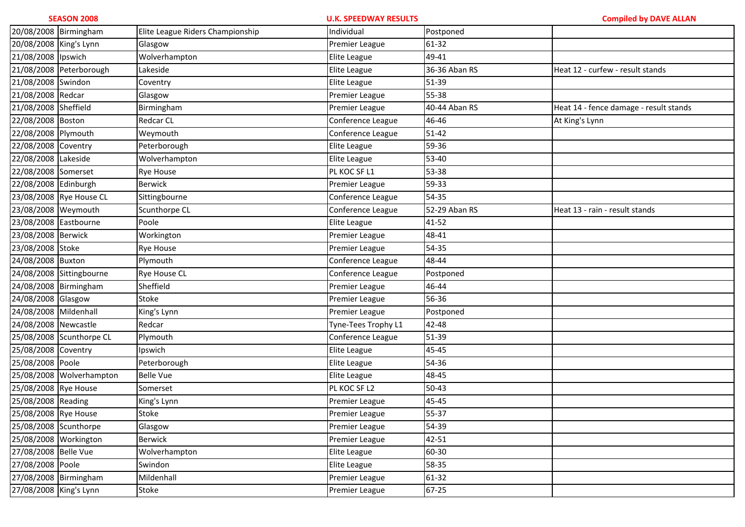| 20/08/2008 Birmingham  |                          | Elite League Riders Championship | Individual          | Postponed     |                                        |
|------------------------|--------------------------|----------------------------------|---------------------|---------------|----------------------------------------|
| 20/08/2008 King's Lynn |                          | Glasgow                          | Premier League      | 61-32         |                                        |
| 21/08/2008 Ipswich     |                          | Wolverhampton                    | Elite League        | 49-41         |                                        |
|                        | 21/08/2008 Peterborough  | Lakeside                         | Elite League        | 36-36 Aban RS | Heat 12 - curfew - result stands       |
| 21/08/2008 Swindon     |                          | Coventry                         | Elite League        | 51-39         |                                        |
| 21/08/2008 Redcar      |                          | Glasgow                          | Premier League      | 55-38         |                                        |
| 21/08/2008 Sheffield   |                          | Birmingham                       | Premier League      | 40-44 Aban RS | Heat 14 - fence damage - result stands |
| 22/08/2008 Boston      |                          | <b>Redcar CL</b>                 | Conference League   | 46-46         | At King's Lynn                         |
| 22/08/2008 Plymouth    |                          | Weymouth                         | Conference League   | $51 - 42$     |                                        |
| 22/08/2008 Coventry    |                          | Peterborough                     | Elite League        | 59-36         |                                        |
| 22/08/2008 Lakeside    |                          | Wolverhampton                    | Elite League        | 53-40         |                                        |
| 22/08/2008 Somerset    |                          | <b>Rye House</b>                 | PL KOC SF L1        | 53-38         |                                        |
| 22/08/2008 Edinburgh   |                          | <b>Berwick</b>                   | Premier League      | 59-33         |                                        |
|                        | 23/08/2008 Rye House CL  | Sittingbourne                    | Conference League   | 54-35         |                                        |
| 23/08/2008 Weymouth    |                          | Scunthorpe CL                    | Conference League   | 52-29 Aban RS | Heat 13 - rain - result stands         |
| 23/08/2008 Eastbourne  |                          | Poole                            | Elite League        | 41-52         |                                        |
| 23/08/2008 Berwick     |                          | Workington                       | Premier League      | 48-41         |                                        |
| 23/08/2008 Stoke       |                          | Rye House                        | Premier League      | 54-35         |                                        |
| 24/08/2008 Buxton      |                          | Plymouth                         | Conference League   | 48-44         |                                        |
|                        | 24/08/2008 Sittingbourne | <b>Rye House CL</b>              | Conference League   | Postponed     |                                        |
| 24/08/2008 Birmingham  |                          | Sheffield                        | Premier League      | 46-44         |                                        |
| 24/08/2008 Glasgow     |                          | Stoke                            | Premier League      | 56-36         |                                        |
| 24/08/2008 Mildenhall  |                          | King's Lynn                      | Premier League      | Postponed     |                                        |
| 24/08/2008 Newcastle   |                          | Redcar                           | Tyne-Tees Trophy L1 | 42-48         |                                        |
|                        | 25/08/2008 Scunthorpe CL | Plymouth                         | Conference League   | 51-39         |                                        |
| 25/08/2008 Coventry    |                          | Ipswich                          | Elite League        | 45-45         |                                        |
| 25/08/2008 Poole       |                          | Peterborough                     | Elite League        | 54-36         |                                        |
|                        | 25/08/2008 Wolverhampton | <b>Belle Vue</b>                 | Elite League        | 48-45         |                                        |
| 25/08/2008 Rye House   |                          | Somerset                         | PL KOC SF L2        | $50 - 43$     |                                        |
| 25/08/2008 Reading     |                          | King's Lynn                      | Premier League      | 45-45         |                                        |
| 25/08/2008 Rye House   |                          | Stoke                            | Premier League      | 55-37         |                                        |
| 25/08/2008 Scunthorpe  |                          | Glasgow                          | Premier League      | 54-39         |                                        |
| 25/08/2008 Workington  |                          | Berwick                          | Premier League      | 42-51         |                                        |
| 27/08/2008 Belle Vue   |                          | Wolverhampton                    | Elite League        | 60-30         |                                        |
| 27/08/2008 Poole       |                          | Swindon                          | Elite League        | 58-35         |                                        |
| 27/08/2008 Birmingham  |                          | Mildenhall                       | Premier League      | 61-32         |                                        |
| 27/08/2008 King's Lynn |                          | Stoke                            | Premier League      | $67 - 25$     |                                        |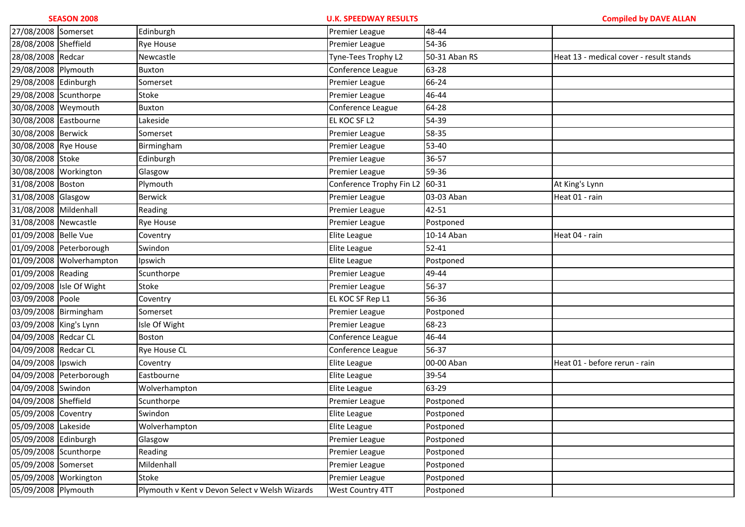| 27/08/2008 Somerset    |                          | Edinburgh                                      | Premier League           | 48-44         |                                         |
|------------------------|--------------------------|------------------------------------------------|--------------------------|---------------|-----------------------------------------|
| 28/08/2008 Sheffield   |                          | <b>Rye House</b>                               | Premier League           | 54-36         |                                         |
| 28/08/2008 Redcar      |                          | Newcastle                                      | Tyne-Tees Trophy L2      | 50-31 Aban RS | Heat 13 - medical cover - result stands |
| 29/08/2008 Plymouth    |                          | Buxton                                         | Conference League        | 63-28         |                                         |
| 29/08/2008 Edinburgh   |                          | Somerset                                       | Premier League           | 66-24         |                                         |
| 29/08/2008 Scunthorpe  |                          | Stoke                                          | Premier League           | 46-44         |                                         |
| 30/08/2008 Weymouth    |                          | Buxton                                         | Conference League        | 64-28         |                                         |
| 30/08/2008 Eastbourne  |                          | Lakeside                                       | EL KOC SF L2             | 54-39         |                                         |
| 30/08/2008 Berwick     |                          | Somerset                                       | Premier League           | 58-35         |                                         |
| 30/08/2008 Rye House   |                          | Birmingham                                     | Premier League           | 53-40         |                                         |
| 30/08/2008 Stoke       |                          | Edinburgh                                      | Premier League           | 36-57         |                                         |
| 30/08/2008 Workington  |                          | Glasgow                                        | Premier League           | 59-36         |                                         |
| 31/08/2008 Boston      |                          | Plymouth                                       | Conference Trophy Fin L2 | 60-31         | At King's Lynn                          |
| 31/08/2008 Glasgow     |                          | <b>Berwick</b>                                 | Premier League           | 03-03 Aban    | Heat 01 - rain                          |
| 31/08/2008 Mildenhall  |                          | Reading                                        | Premier League           | 42-51         |                                         |
| 31/08/2008 Newcastle   |                          | Rye House                                      | Premier League           | Postponed     |                                         |
| 01/09/2008 Belle Vue   |                          | Coventry                                       | Elite League             | 10-14 Aban    | Heat 04 - rain                          |
|                        | 01/09/2008 Peterborough  | Swindon                                        | Elite League             | $52 - 41$     |                                         |
|                        | 01/09/2008 Wolverhampton | Ipswich                                        | Elite League             | Postponed     |                                         |
| 01/09/2008 Reading     |                          | Scunthorpe                                     | Premier League           | 49-44         |                                         |
|                        | 02/09/2008 Isle Of Wight | Stoke                                          | Premier League           | 56-37         |                                         |
| 03/09/2008 Poole       |                          | Coventry                                       | EL KOC SF Rep L1         | 56-36         |                                         |
| 03/09/2008 Birmingham  |                          | Somerset                                       | Premier League           | Postponed     |                                         |
| 03/09/2008 King's Lynn |                          | Isle Of Wight                                  | Premier League           | 68-23         |                                         |
| 04/09/2008 Redcar CL   |                          | Boston                                         | Conference League        | 46-44         |                                         |
| 04/09/2008 Redcar CL   |                          | Rye House CL                                   | Conference League        | 56-37         |                                         |
| 04/09/2008 lpswich     |                          | Coventry                                       | Elite League             | 00-00 Aban    | Heat 01 - before rerun - rain           |
|                        | 04/09/2008 Peterborough  | Eastbourne                                     | Elite League             | 39-54         |                                         |
| 04/09/2008 Swindon     |                          | Wolverhampton                                  | Elite League             | 63-29         |                                         |
| 04/09/2008 Sheffield   |                          | Scunthorpe                                     | Premier League           | Postponed     |                                         |
| 05/09/2008 Coventry    |                          | Swindon                                        | Elite League             | Postponed     |                                         |
| 05/09/2008 Lakeside    |                          | Wolverhampton                                  | Elite League             | Postponed     |                                         |
| 05/09/2008 Edinburgh   |                          | Glasgow                                        | Premier League           | Postponed     |                                         |
| 05/09/2008 Scunthorpe  |                          | Reading                                        | Premier League           | Postponed     |                                         |
| 05/09/2008 Somerset    |                          | Mildenhall                                     | <b>Premier League</b>    | Postponed     |                                         |
| 05/09/2008 Workington  |                          | Stoke                                          | Premier League           | Postponed     |                                         |
| 05/09/2008 Plymouth    |                          | Plymouth v Kent v Devon Select v Welsh Wizards | <b>West Country 4TT</b>  | Postponed     |                                         |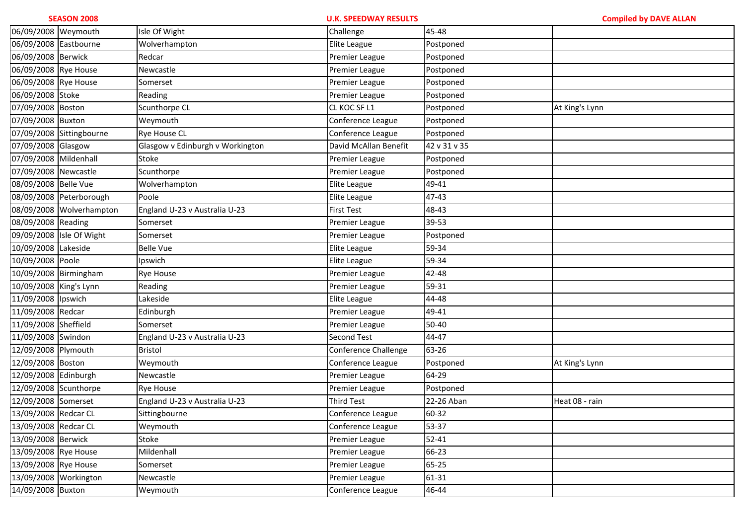| 06/09/2008 Weymouth    |                          | Isle Of Wight                    | Challenge             | 45-48        |                |
|------------------------|--------------------------|----------------------------------|-----------------------|--------------|----------------|
| 06/09/2008 Eastbourne  |                          | Wolverhampton                    | Elite League          | Postponed    |                |
| 06/09/2008 Berwick     |                          | Redcar                           | Premier League        | Postponed    |                |
| 06/09/2008 Rye House   |                          | Newcastle                        | Premier League        | Postponed    |                |
| 06/09/2008 Rye House   |                          | Somerset                         | Premier League        | Postponed    |                |
| 06/09/2008 Stoke       |                          | Reading                          | Premier League        | Postponed    |                |
| 07/09/2008 Boston      |                          | Scunthorpe CL                    | CL KOC SF L1          | Postponed    | At King's Lynn |
| 07/09/2008 Buxton      |                          | Weymouth                         | Conference League     | Postponed    |                |
|                        | 07/09/2008 Sittingbourne | <b>Rye House CL</b>              | Conference League     | Postponed    |                |
| 07/09/2008 Glasgow     |                          | Glasgow v Edinburgh v Workington | David McAllan Benefit | 42 v 31 v 35 |                |
| 07/09/2008 Mildenhall  |                          | Stoke                            | Premier League        | Postponed    |                |
| 07/09/2008 Newcastle   |                          | Scunthorpe                       | Premier League        | Postponed    |                |
| 08/09/2008 Belle Vue   |                          | Wolverhampton                    | Elite League          | 49-41        |                |
|                        | 08/09/2008 Peterborough  | Poole                            | Elite League          | 47-43        |                |
|                        | 08/09/2008 Wolverhampton | England U-23 v Australia U-23    | <b>First Test</b>     | 48-43        |                |
| 08/09/2008 Reading     |                          | Somerset                         | Premier League        | 39-53        |                |
|                        | 09/09/2008 Isle Of Wight | Somerset                         | Premier League        | Postponed    |                |
| 10/09/2008 Lakeside    |                          | <b>Belle Vue</b>                 | Elite League          | 59-34        |                |
| 10/09/2008 Poole       |                          | Ipswich                          | Elite League          | 59-34        |                |
| 10/09/2008 Birmingham  |                          | <b>Rye House</b>                 | Premier League        | 42-48        |                |
| 10/09/2008 King's Lynn |                          | Reading                          | Premier League        | 59-31        |                |
| 11/09/2008 lpswich     |                          | Lakeside                         | Elite League          | 44-48        |                |
| 11/09/2008 Redcar      |                          | Edinburgh                        | Premier League        | 49-41        |                |
| 11/09/2008 Sheffield   |                          | Somerset                         | Premier League        | 50-40        |                |
| 11/09/2008 Swindon     |                          | England U-23 v Australia U-23    | <b>Second Test</b>    | 44-47        |                |
| 12/09/2008 Plymouth    |                          | <b>Bristol</b>                   | Conference Challenge  | 63-26        |                |
| 12/09/2008 Boston      |                          | Weymouth                         | Conference League     | Postponed    | At King's Lynn |
| 12/09/2008 Edinburgh   |                          | Newcastle                        | Premier League        | 64-29        |                |
| 12/09/2008 Scunthorpe  |                          | <b>Rye House</b>                 | Premier League        | Postponed    |                |
| 12/09/2008 Somerset    |                          | England U-23 v Australia U-23    | Third Test            | 22-26 Aban   | Heat 08 - rain |
| 13/09/2008 Redcar CL   |                          | Sittingbourne                    | Conference League     | 60-32        |                |
| 13/09/2008 Redcar CL   |                          | Weymouth                         | Conference League     | 53-37        |                |
| 13/09/2008 Berwick     |                          | Stoke                            | Premier League        | $52 - 41$    |                |
| 13/09/2008 Rye House   |                          | Mildenhall                       | Premier League        | 66-23        |                |
| 13/09/2008 Rye House   |                          | Somerset                         | Premier League        | 65-25        |                |
| 13/09/2008 Workington  |                          | Newcastle                        | Premier League        | 61-31        |                |
| 14/09/2008 Buxton      |                          | Weymouth                         | Conference League     | 46-44        |                |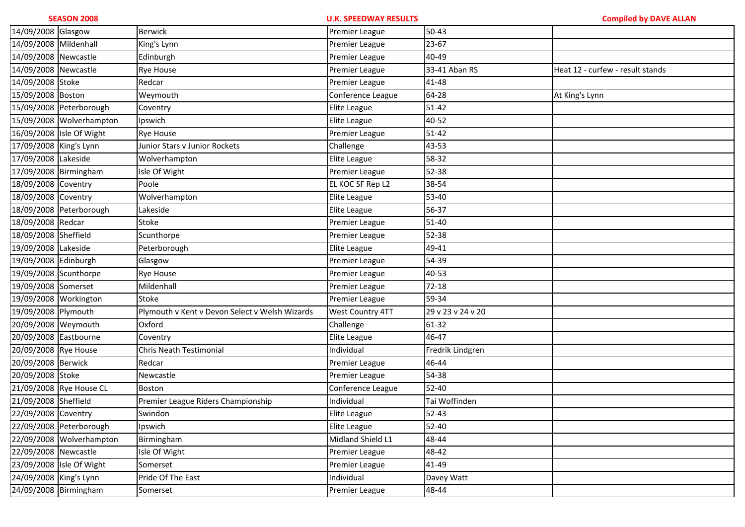| 14/09/2008 Glasgow     |                          | <b>Berwick</b>                                 | Premier League    | $50 - 43$         |                                  |
|------------------------|--------------------------|------------------------------------------------|-------------------|-------------------|----------------------------------|
| 14/09/2008 Mildenhall  |                          | King's Lynn                                    | Premier League    | 23-67             |                                  |
| 14/09/2008 Newcastle   |                          | Edinburgh                                      | Premier League    | 40-49             |                                  |
| 14/09/2008 Newcastle   |                          | Rye House                                      | Premier League    | 33-41 Aban RS     | Heat 12 - curfew - result stands |
| 14/09/2008 Stoke       |                          | Redcar                                         | Premier League    | 41-48             |                                  |
| 15/09/2008 Boston      |                          | Weymouth                                       | Conference League | 64-28             | At King's Lynn                   |
|                        | 15/09/2008 Peterborough  | Coventry                                       | Elite League      | $51 - 42$         |                                  |
|                        | 15/09/2008 Wolverhampton | Ipswich                                        | Elite League      | 40-52             |                                  |
|                        | 16/09/2008 Isle Of Wight | <b>Rye House</b>                               | Premier League    | 51-42             |                                  |
| 17/09/2008 King's Lynn |                          | Junior Stars v Junior Rockets                  | Challenge         | 43-53             |                                  |
| 17/09/2008 Lakeside    |                          | Wolverhampton                                  | Elite League      | 58-32             |                                  |
| 17/09/2008 Birmingham  |                          | Isle Of Wight                                  | Premier League    | 52-38             |                                  |
| 18/09/2008 Coventry    |                          | Poole                                          | EL KOC SF Rep L2  | 38-54             |                                  |
| 18/09/2008 Coventry    |                          | Wolverhampton                                  | Elite League      | 53-40             |                                  |
|                        | 18/09/2008 Peterborough  | Lakeside                                       | Elite League      | 56-37             |                                  |
| 18/09/2008 Redcar      |                          | Stoke                                          | Premier League    | 51-40             |                                  |
| 18/09/2008 Sheffield   |                          | Scunthorpe                                     | Premier League    | 52-38             |                                  |
| 19/09/2008 Lakeside    |                          | Peterborough                                   | Elite League      | 49-41             |                                  |
| 19/09/2008 Edinburgh   |                          | Glasgow                                        | Premier League    | 54-39             |                                  |
| 19/09/2008 Scunthorpe  |                          | Rye House                                      | Premier League    | 40-53             |                                  |
| 19/09/2008 Somerset    |                          | Mildenhall                                     | Premier League    | $72 - 18$         |                                  |
| 19/09/2008 Workington  |                          | Stoke                                          | Premier League    | 59-34             |                                  |
| 19/09/2008 Plymouth    |                          | Plymouth v Kent v Devon Select v Welsh Wizards | West Country 4TT  | 29 v 23 v 24 v 20 |                                  |
| 20/09/2008 Weymouth    |                          | Oxford                                         | Challenge         | 61-32             |                                  |
| 20/09/2008 Eastbourne  |                          | Coventry                                       | Elite League      | 46-47             |                                  |
| 20/09/2008 Rye House   |                          | Chris Neath Testimonial                        | Individual        | Fredrik Lindgren  |                                  |
| 20/09/2008 Berwick     |                          | Redcar                                         | Premier League    | 46-44             |                                  |
| 20/09/2008 Stoke       |                          | Newcastle                                      | Premier League    | 54-38             |                                  |
|                        | 21/09/2008 Rye House CL  | Boston                                         | Conference League | $52 - 40$         |                                  |
| 21/09/2008 Sheffield   |                          | Premier League Riders Championship             | Individual        | Tai Woffinden     |                                  |
| 22/09/2008 Coventry    |                          | Swindon                                        | Elite League      | $52 - 43$         |                                  |
|                        | 22/09/2008 Peterborough  | Ipswich                                        | Elite League      | 52-40             |                                  |
|                        | 22/09/2008 Wolverhampton | Birmingham                                     | Midland Shield L1 | 48-44             |                                  |
| 22/09/2008 Newcastle   |                          | Isle Of Wight                                  | Premier League    | 48-42             |                                  |
|                        | 23/09/2008 Isle Of Wight | Somerset                                       | Premier League    | 41-49             |                                  |
| 24/09/2008 King's Lynn |                          | Pride Of The East                              | Individual        | Davey Watt        |                                  |
|                        | 24/09/2008 Birmingham    | Somerset                                       | Premier League    | 48-44             |                                  |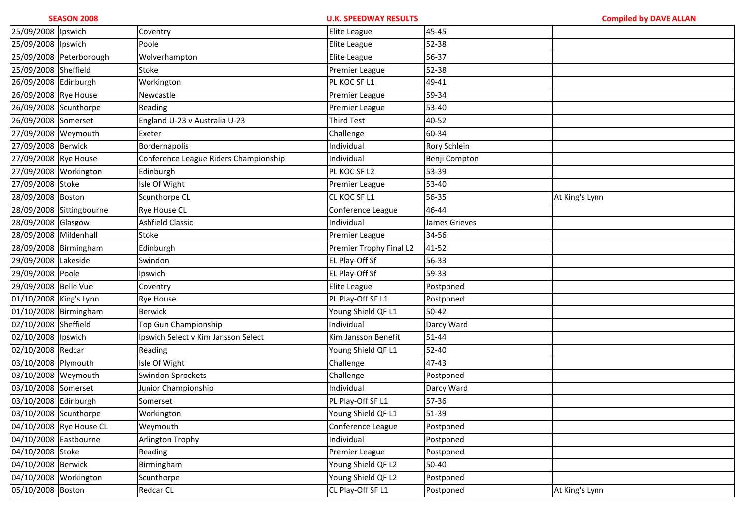| 25/09/2008 lpswich     |                          | Coventry                              | Elite League            | 45-45         |                |
|------------------------|--------------------------|---------------------------------------|-------------------------|---------------|----------------|
| 25/09/2008 lpswich     |                          | Poole                                 | Elite League            | 52-38         |                |
|                        | 25/09/2008 Peterborough  | Wolverhampton                         | Elite League            | 56-37         |                |
| 25/09/2008 Sheffield   |                          | Stoke                                 | Premier League          | 52-38         |                |
| 26/09/2008 Edinburgh   |                          | Workington                            | PL KOC SF L1            | 49-41         |                |
| 26/09/2008 Rye House   |                          | Newcastle                             | Premier League          | 59-34         |                |
| 26/09/2008 Scunthorpe  |                          | Reading                               | Premier League          | 53-40         |                |
| 26/09/2008 Somerset    |                          | England U-23 v Australia U-23         | Third Test              | 40-52         |                |
| 27/09/2008 Weymouth    |                          | Exeter                                | Challenge               | 60-34         |                |
| 27/09/2008 Berwick     |                          | Bordernapolis                         | Individual              | Rory Schlein  |                |
| 27/09/2008 Rye House   |                          | Conference League Riders Championship | Individual              | Benji Compton |                |
| 27/09/2008 Workington  |                          | Edinburgh                             | PL KOC SF L2            | 53-39         |                |
| 27/09/2008 Stoke       |                          | Isle Of Wight                         | Premier League          | 53-40         |                |
| 28/09/2008 Boston      |                          | Scunthorpe CL                         | CL KOC SF L1            | 56-35         | At King's Lynn |
|                        | 28/09/2008 Sittingbourne | <b>Rye House CL</b>                   | Conference League       | 46-44         |                |
| 28/09/2008 Glasgow     |                          | Ashfield Classic                      | Individual              | James Grieves |                |
| 28/09/2008 Mildenhall  |                          | Stoke                                 | Premier League          | 34-56         |                |
| 28/09/2008 Birmingham  |                          | Edinburgh                             | Premier Trophy Final L2 | 41-52         |                |
| 29/09/2008 Lakeside    |                          | Swindon                               | EL Play-Off Sf          | 56-33         |                |
| 29/09/2008 Poole       |                          | Ipswich                               | EL Play-Off Sf          | 59-33         |                |
| 29/09/2008 Belle Vue   |                          | Coventry                              | Elite League            | Postponed     |                |
| 01/10/2008 King's Lynn |                          | <b>Rye House</b>                      | PL Play-Off SF L1       | Postponed     |                |
| 01/10/2008 Birmingham  |                          | <b>Berwick</b>                        | Young Shield QF L1      | 50-42         |                |
| 02/10/2008 Sheffield   |                          | Top Gun Championship                  | Individual              | Darcy Ward    |                |
| 02/10/2008 lpswich     |                          | Ipswich Select v Kim Jansson Select   | Kim Jansson Benefit     | 51-44         |                |
| 02/10/2008 Redcar      |                          | Reading                               | Young Shield QF L1      | 52-40         |                |
| 03/10/2008 Plymouth    |                          | Isle Of Wight                         | Challenge               | 47-43         |                |
| 03/10/2008 Weymouth    |                          | Swindon Sprockets                     | Challenge               | Postponed     |                |
| 03/10/2008 Somerset    |                          | Junior Championship                   | Individual              | Darcy Ward    |                |
| 03/10/2008 Edinburgh   |                          | Somerset                              | PL Play-Off SF L1       | 57-36         |                |
| 03/10/2008 Scunthorpe  |                          | Workington                            | Young Shield QF L1      | 51-39         |                |
|                        | 04/10/2008 Rye House CL  | Weymouth                              | Conference League       | Postponed     |                |
| 04/10/2008 Eastbourne  |                          | Arlington Trophy                      | Individual              | Postponed     |                |
| 04/10/2008 Stoke       |                          | Reading                               | Premier League          | Postponed     |                |
| 04/10/2008 Berwick     |                          | Birmingham                            | Young Shield QF L2      | 50-40         |                |
| 04/10/2008 Workington  |                          | Scunthorpe                            | Young Shield QF L2      | Postponed     |                |
| 05/10/2008 Boston      |                          | <b>Redcar CL</b>                      | CL Play-Off SF L1       | Postponed     | At King's Lynn |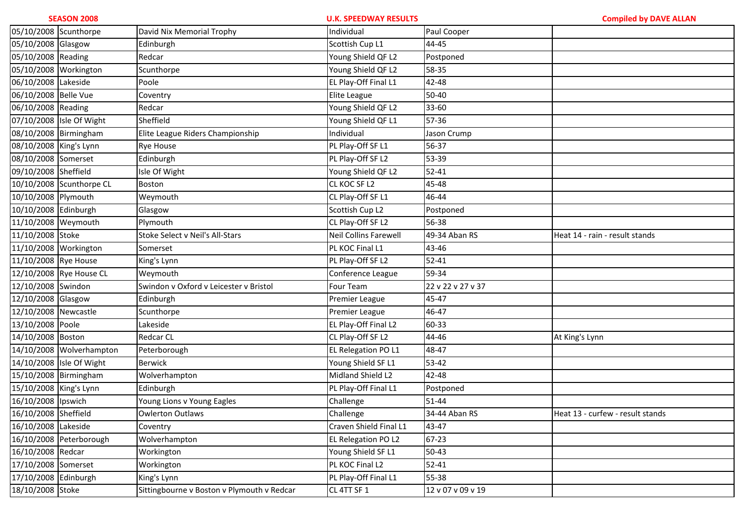| <b>SEASON 2008</b>     |                          | <b>U.K. SPEEDWAY RESULTS</b>               |                        | <b>Compiled by DAVE ALLAN</b> |                                  |
|------------------------|--------------------------|--------------------------------------------|------------------------|-------------------------------|----------------------------------|
| 05/10/2008 Scunthorpe  |                          | David Nix Memorial Trophy                  | Individual             | Paul Cooper                   |                                  |
| 05/10/2008 Glasgow     |                          | Edinburgh                                  | Scottish Cup L1        | 44-45                         |                                  |
| 05/10/2008 Reading     |                          | Redcar                                     | Young Shield QF L2     | Postponed                     |                                  |
| 05/10/2008 Workington  |                          | Scunthorpe                                 | Young Shield QF L2     | 58-35                         |                                  |
| 06/10/2008 Lakeside    |                          | Poole                                      | EL Play-Off Final L1   | 42-48                         |                                  |
| 06/10/2008 Belle Vue   |                          | Coventry                                   | Elite League           | 50-40                         |                                  |
| 06/10/2008 Reading     |                          | Redcar                                     | Young Shield QF L2     | 33-60                         |                                  |
|                        | 07/10/2008 Isle Of Wight | Sheffield                                  | Young Shield QF L1     | 57-36                         |                                  |
| 08/10/2008 Birmingham  |                          | Elite League Riders Championship           | Individual             | Jason Crump                   |                                  |
| 08/10/2008 King's Lynn |                          | <b>Rye House</b>                           | PL Play-Off SF L1      | 56-37                         |                                  |
| 08/10/2008 Somerset    |                          | Edinburgh                                  | PL Play-Off SF L2      | 53-39                         |                                  |
| 09/10/2008 Sheffield   |                          | Isle Of Wight                              | Young Shield QF L2     | $52 - 41$                     |                                  |
| 10/10/2008             | Scunthorpe CL            | Boston                                     | CL KOC SF L2           | 45-48                         |                                  |
| 10/10/2008 Plymouth    |                          | Weymouth                                   | CL Play-Off SF L1      | 46-44                         |                                  |
| 10/10/2008 Edinburgh   |                          | Glasgow                                    | Scottish Cup L2        | Postponed                     |                                  |
| 11/10/2008 Weymouth    |                          | Plymouth                                   | CL Play-Off SF L2      | 56-38                         |                                  |
| 11/10/2008 Stoke       |                          | Stoke Select v Neil's All-Stars            | Neil Collins Farewell  | 49-34 Aban RS                 | Heat 14 - rain - result stands   |
| 11/10/2008             | Workington               | Somerset                                   | PL KOC Final L1        | 43-46                         |                                  |
| 11/10/2008 Rye House   |                          | King's Lynn                                | PL Play-Off SF L2      | $52 - 41$                     |                                  |
|                        | 12/10/2008 Rye House CL  | Weymouth                                   | Conference League      | 59-34                         |                                  |
| 12/10/2008 Swindon     |                          | Swindon v Oxford v Leicester v Bristol     | Four Team              | 22 v 22 v 27 v 37             |                                  |
| 12/10/2008 Glasgow     |                          | Edinburgh                                  | Premier League         | 45-47                         |                                  |
| 12/10/2008 Newcastle   |                          | Scunthorpe                                 | Premier League         | 46-47                         |                                  |
| 13/10/2008 Poole       |                          | Lakeside                                   | EL Play-Off Final L2   | 60-33                         |                                  |
| 14/10/2008 Boston      |                          | <b>Redcar CL</b>                           | CL Play-Off SF L2      | 44-46                         | At King's Lynn                   |
|                        | 14/10/2008 Wolverhampton | Peterborough                               | EL Relegation PO L1    | 48-47                         |                                  |
|                        | 14/10/2008 Isle Of Wight | <b>Berwick</b>                             | Young Shield SF L1     | 53-42                         |                                  |
|                        | 15/10/2008 Birmingham    | Wolverhampton                              | Midland Shield L2      | 42-48                         |                                  |
| 15/10/2008 King's Lynn |                          | Edinburgh                                  | PL Play-Off Final L1   | Postponed                     |                                  |
| 16/10/2008 Ipswich     |                          | Young Lions v Young Eagles                 | Challenge              | 51-44                         |                                  |
| 16/10/2008 Sheffield   |                          | <b>Owlerton Outlaws</b>                    | Challenge              | 34-44 Aban RS                 | Heat 13 - curfew - result stands |
| 16/10/2008 Lakeside    |                          | Coventry                                   | Craven Shield Final L1 | 43-47                         |                                  |
|                        | 16/10/2008 Peterborough  | Wolverhampton                              | EL Relegation PO L2    | 67-23                         |                                  |
| 16/10/2008 Redcar      |                          | Workington                                 | Young Shield SF L1     | $50 - 43$                     |                                  |
| 17/10/2008 Somerset    |                          | Workington                                 | PL KOC Final L2        | $52 - 41$                     |                                  |
| 17/10/2008 Edinburgh   |                          | King's Lynn                                | PL Play-Off Final L1   | 55-38                         |                                  |
| 18/10/2008 Stoke       |                          | Sittingbourne v Boston v Plymouth v Redcar | CL 4TT SF 1            | 12 v 07 v 09 v 19             |                                  |